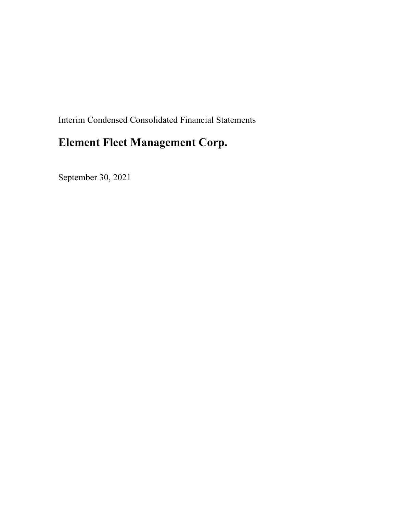Interim Condensed Consolidated Financial Statements

# **Element Fleet Management Corp.**

September 30, 2021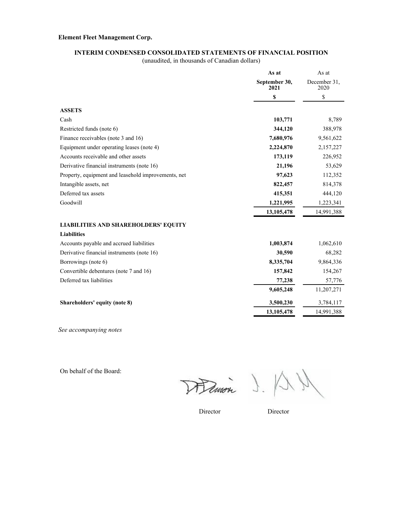### **INTERIM CONDENSED CONSOLIDATED STATEMENTS OF FINANCIAL POSITION**

(unaudited, in thousands of Canadian dollars)

|                                                     | As at                 | As at                |
|-----------------------------------------------------|-----------------------|----------------------|
|                                                     | September 30,<br>2021 | December 31.<br>2020 |
|                                                     | \$                    | \$                   |
| <b>ASSETS</b>                                       |                       |                      |
| Cash                                                | 103,771               | 8,789                |
| Restricted funds (note 6)                           | 344,120               | 388,978              |
| Finance receivables (note 3 and 16)                 | 7,680,976             | 9,561,622            |
| Equipment under operating leases (note 4)           | 2,224,870             | 2,157,227            |
| Accounts receivable and other assets                | 173,119               | 226,952              |
| Derivative financial instruments (note 16)          | 21,196                | 53,629               |
| Property, equipment and leasehold improvements, net | 97,623                | 112,352              |
| Intangible assets, net                              | 822,457               | 814,378              |
| Deferred tax assets                                 | 415,351               | 444,120              |
| Goodwill                                            | 1,221,995             | 1,223,341            |
|                                                     | 13,105,478            | 14,991,388           |
| <b>LIABILITIES AND SHAREHOLDERS' EQUITY</b>         |                       |                      |
| <b>Liabilities</b>                                  |                       |                      |
| Accounts payable and accrued liabilities            | 1,003,874             | 1,062,610            |
| Derivative financial instruments (note 16)          | 30,590                | 68,282               |
| Borrowings (note 6)                                 | 8,335,704             | 9,864,336            |
| Convertible debentures (note 7 and 16)              | 157,842               | 154,267              |
| Deferred tax liabilities                            | 77,238                | 57,776               |
|                                                     | 9,605,248             | 11,207,271           |
| Shareholders' equity (note 8)                       | 3,500,230             | 3,784,117            |
|                                                     | 13,105,478            | 14,991,388           |

*See accompanying notes*

On behalf of the Board:

Hemon J.

Director Director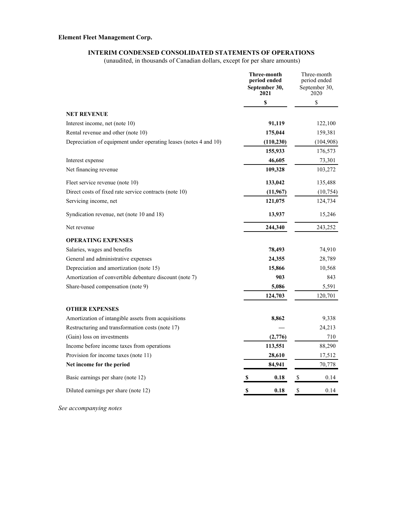### **INTERIM CONDENSED CONSOLIDATED STATEMENTS OF OPERATIONS**

(unaudited, in thousands of Canadian dollars, except for per share amounts)

|                                                                   | Three-month<br>period ended<br>September 30,<br>2021 | Three-month<br>period ended<br>September 30,<br>2020 |
|-------------------------------------------------------------------|------------------------------------------------------|------------------------------------------------------|
|                                                                   | \$                                                   | \$                                                   |
| <b>NET REVENUE</b>                                                |                                                      |                                                      |
| Interest income, net (note 10)                                    | 91,119                                               | 122,100                                              |
| Rental revenue and other (note 10)                                | 175,044                                              | 159,381                                              |
| Depreciation of equipment under operating leases (notes 4 and 10) | (110, 230)                                           | (104,908)                                            |
|                                                                   | 155,933                                              | 176,573                                              |
| Interest expense                                                  | 46,605                                               | 73,301                                               |
| Net financing revenue                                             | 109,328                                              | 103,272                                              |
| Fleet service revenue (note 10)                                   | 133,042                                              | 135,488                                              |
| Direct costs of fixed rate service contracts (note 10)            | (11,967)                                             | (10,754)                                             |
| Servicing income, net                                             | 121,075                                              | 124,734                                              |
| Syndication revenue, net (note 10 and 18)                         | 13,937                                               | 15,246                                               |
| Net revenue                                                       | 244,340                                              | 243,252                                              |
| <b>OPERATING EXPENSES</b>                                         |                                                      |                                                      |
| Salaries, wages and benefits                                      | 78,493                                               | 74,910                                               |
| General and administrative expenses                               | 24,355                                               | 28,789                                               |
| Depreciation and amortization (note 15)                           | 15,866                                               | 10,568                                               |
| Amortization of convertible debenture discount (note 7)           | 903                                                  | 843                                                  |
| Share-based compensation (note 9)                                 | 5,086                                                | 5,591                                                |
|                                                                   | 124,703                                              | 120,701                                              |
| <b>OTHER EXPENSES</b>                                             |                                                      |                                                      |
| Amortization of intangible assets from acquisitions               | 8,862                                                | 9,338                                                |
| Restructuring and transformation costs (note 17)                  |                                                      | 24,213                                               |
| (Gain) loss on investments                                        | (2,776)                                              | 710                                                  |
| Income before income taxes from operations                        | 113,551                                              | 88,290                                               |
| Provision for income taxes (note 11)                              | 28,610                                               | 17,512                                               |
| Net income for the period                                         | 84,941                                               | 70,778                                               |
| Basic earnings per share (note 12)                                | 0.18<br>S                                            | \$<br>0.14                                           |
| Diluted earnings per share (note 12)                              | \$<br>0.18                                           | \$<br>0.14                                           |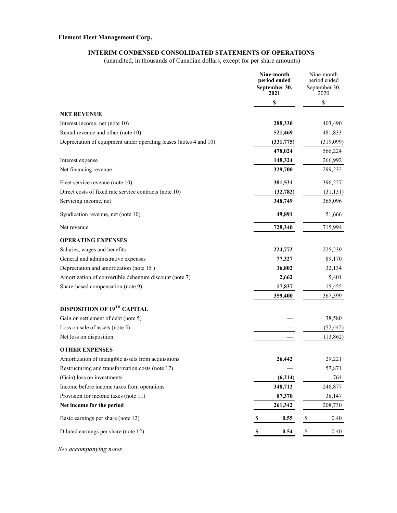### **INTERIM CONDENSED CONSOLIDATED STATEMENTS OF OPERATIONS**

(unaudited, in thousands of Canadian dollars, except for per share amounts)

|                                                                   |   | Nine-month<br>period ended<br>September 30,<br>2021 |                           | Nine-month<br>period ended<br>September 30,<br>2020 |
|-------------------------------------------------------------------|---|-----------------------------------------------------|---------------------------|-----------------------------------------------------|
|                                                                   |   | \$                                                  |                           | \$                                                  |
| <b>NET REVENUE</b>                                                |   |                                                     |                           |                                                     |
| Interest income, net (note 10)                                    |   | 288,330                                             |                           | 403,490                                             |
| Rental revenue and other (note 10)                                |   | 521,469                                             |                           | 481,833                                             |
| Depreciation of equipment under operating leases (notes 4 and 10) |   | (331,775)                                           |                           | (319,099)                                           |
|                                                                   |   | 478,024                                             |                           | 566,224                                             |
| Interest expense                                                  |   | 148,324                                             |                           | 266,992                                             |
| Net financing revenue                                             |   | 329,700                                             |                           | 299,232                                             |
| Fleet service revenue (note 10)                                   |   | 381,531                                             |                           | 396,227                                             |
| Direct costs of fixed rate service contracts (note 10)            |   | (32, 782)                                           |                           | (31, 131)                                           |
| Servicing income, net                                             |   | 348,749                                             |                           | 365,096                                             |
| Syndication revenue, net (note 10)                                |   | 49,891                                              |                           | 51,666                                              |
| Net revenue                                                       |   | 728,340                                             |                           | 715,994                                             |
| <b>OPERATING EXPENSES</b>                                         |   |                                                     |                           |                                                     |
| Salaries, wages and benefits                                      |   | 224,772                                             |                           | 225,239                                             |
| General and administrative expenses                               |   | 77,327                                              |                           | 89,170                                              |
| Depreciation and amortization (note 15)                           |   | 36,802                                              |                           | 32,134                                              |
| Amortization of convertible debenture discount (note 7)           |   | 2,662                                               |                           | 5,401                                               |
| Share-based compensation (note 9)                                 |   | 17,837                                              |                           | 15,455                                              |
|                                                                   |   | 359,400                                             |                           | 367,399                                             |
| DISPOSITION OF 19TH CAPITAL                                       |   |                                                     |                           |                                                     |
| Gain on settlement of debt (note 5)                               |   |                                                     |                           | 38,580                                              |
| Loss on sale of assets (note 5)                                   |   |                                                     |                           | (52, 442)                                           |
| Net loss on disposition                                           |   |                                                     |                           | (13,862)                                            |
| <b>OTHER EXPENSES</b>                                             |   |                                                     |                           |                                                     |
| Amortization of intangible assets from acquisitions               |   | 26,442                                              |                           | 29,221                                              |
| Restructuring and transformation costs (note 17)                  |   |                                                     |                           | 57,871                                              |
| (Gain) loss on investments                                        |   | (6,214)                                             |                           | 764                                                 |
| Income before income taxes from operations                        |   | 348,712                                             |                           | 246,877                                             |
| Provision for income taxes (note 11)                              |   | 87,370                                              |                           | 38,147                                              |
| Net income for the period                                         |   | 261,342                                             |                           | 208,730                                             |
| Basic earnings per share (note 12)                                | S | 0.55                                                | \$                        | 0.40                                                |
| Diluted earnings per share (note 12)                              | S | 0.54                                                | $\boldsymbol{\mathsf{S}}$ | 0.40                                                |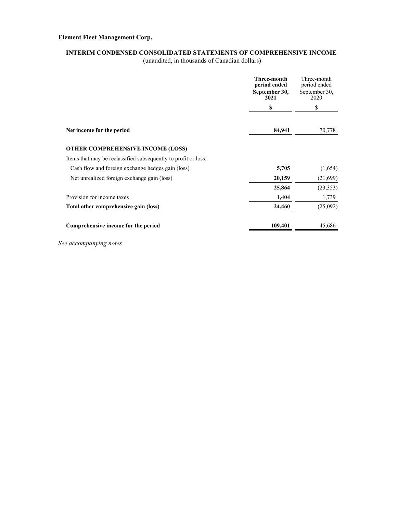### **INTERIM CONDENSED CONSOLIDATED STATEMENTS OF COMPREHENSIVE INCOME**

(unaudited, in thousands of Canadian dollars)

|                                                                | <b>Three-month</b><br>period ended<br>September 30,<br>2021 | Three-month<br>period ended<br>September 30,<br>2020 |
|----------------------------------------------------------------|-------------------------------------------------------------|------------------------------------------------------|
|                                                                | \$                                                          | \$                                                   |
| Net income for the period                                      | 84,941                                                      | 70,778                                               |
| <b>OTHER COMPREHENSIVE INCOME (LOSS)</b>                       |                                                             |                                                      |
| Items that may be reclassified subsequently to profit or loss: |                                                             |                                                      |
| Cash flow and foreign exchange hedges gain (loss)              | 5,705                                                       | (1,654)                                              |
| Net unrealized foreign exchange gain (loss)                    | 20,159                                                      | (21,699)                                             |
|                                                                | 25,864                                                      | (23, 353)                                            |
| Provision for income taxes                                     | 1,404                                                       | 1,739                                                |
| Total other comprehensive gain (loss)                          | 24,460                                                      | (25,092)                                             |
| Comprehensive income for the period                            | 109,401                                                     | 45,686                                               |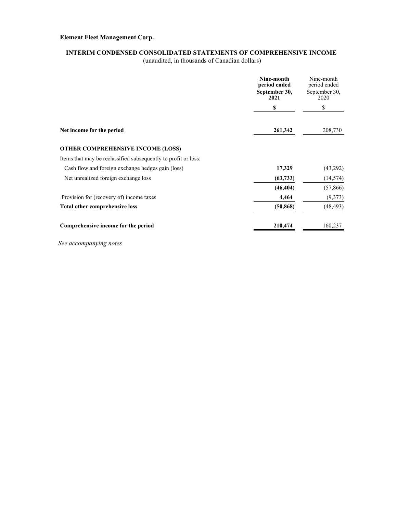### **INTERIM CONDENSED CONSOLIDATED STATEMENTS OF COMPREHENSIVE INCOME**

(unaudited, in thousands of Canadian dollars)

|                                                                | Nine-month<br>period ended<br>September 30,<br>2021 | Nine-month<br>period ended<br>September 30,<br>2020 |
|----------------------------------------------------------------|-----------------------------------------------------|-----------------------------------------------------|
|                                                                | \$                                                  | \$                                                  |
| Net income for the period                                      | 261,342                                             | 208,730                                             |
| <b>OTHER COMPREHENSIVE INCOME (LOSS)</b>                       |                                                     |                                                     |
| Items that may be reclassified subsequently to profit or loss: |                                                     |                                                     |
| Cash flow and foreign exchange hedges gain (loss)              | 17,329                                              | (43,292)                                            |
| Net unrealized foreign exchange loss                           | (63, 733)                                           | (14, 574)                                           |
|                                                                | (46, 404)                                           | (57, 866)                                           |
| Provision for (recovery of) income taxes                       | 4,464                                               | (9,373)                                             |
| Total other comprehensive loss                                 | (50, 868)                                           | (48, 493)                                           |
| Comprehensive income for the period                            | 210,474                                             | 160,237                                             |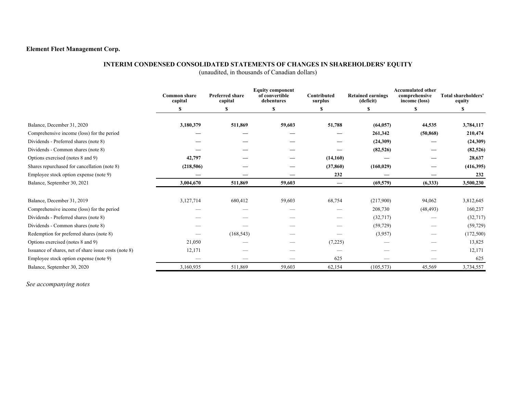### **INTERIM CONDENSED CONSOLIDATED STATEMENTS OF CHANGES IN SHAREHOLDERS' EQUITY**

(unaudited, in thousands of Canadian dollars)

|                                                       | <b>Common share</b><br>capital | <b>Preferred share</b><br>capital | <b>Equity component</b><br>of convertible<br>debentures | Contributed<br>surplus | <b>Retained earnings</b><br>(deficit) | <b>Accumulated other</b><br>comprehensive<br>income (loss) | <b>Total shareholders'</b><br>equity |
|-------------------------------------------------------|--------------------------------|-----------------------------------|---------------------------------------------------------|------------------------|---------------------------------------|------------------------------------------------------------|--------------------------------------|
|                                                       |                                | \$                                | \$                                                      | \$                     | S                                     | \$                                                         | \$                                   |
| Balance, December 31, 2020                            | 3,180,379                      | 511,869                           | 59,603                                                  | 51,788                 | (64, 057)                             | 44,535                                                     | 3,784,117                            |
| Comprehensive income (loss) for the period            |                                |                                   |                                                         |                        | 261,342                               | (50, 868)                                                  | 210,474                              |
| Dividends - Preferred shares (note 8)                 |                                |                                   |                                                         |                        | (24,309)                              |                                                            | (24,309)                             |
| Dividends - Common shares (note 8)                    |                                |                                   |                                                         |                        | (82, 526)                             |                                                            | (82, 526)                            |
| Options exercised (notes 8 and 9)                     | 42,797                         |                                   |                                                         | (14,160)               |                                       |                                                            | 28,637                               |
| Shares repurchased for cancellation (note 8)          | (218,506)                      |                                   |                                                         | (37, 860)              | (160, 029)                            |                                                            | (416,395)                            |
| Employee stock option expense (note 9)                |                                |                                   |                                                         | 232                    |                                       |                                                            | 232                                  |
| Balance, September 30, 2021                           | 3,004,670                      | 511,869                           | 59,603                                                  |                        | (69, 579)                             | (6,333)                                                    | 3,500,230                            |
|                                                       |                                |                                   |                                                         |                        |                                       |                                                            |                                      |
| Balance, December 31, 2019                            | 3,127,714                      | 680,412                           | 59,603                                                  | 68,754                 | (217,900)                             | 94,062                                                     | 3,812,645                            |
| Comprehensive income (loss) for the period            |                                |                                   |                                                         |                        | 208,730                               | (48, 493)                                                  | 160,237                              |
| Dividends - Preferred shares (note 8)                 |                                |                                   |                                                         |                        | (32,717)                              |                                                            | (32,717)                             |
| Dividends - Common shares (note 8)                    |                                |                                   |                                                         |                        | (59, 729)                             | --                                                         | (59, 729)                            |
| Redemption for preferred shares (note 8)              |                                | (168, 543)                        |                                                         |                        | (3,957)                               |                                                            | (172,500)                            |
| Options exercised (notes 8 and 9)                     | 21,050                         |                                   |                                                         | (7,225)                |                                       |                                                            | 13,825                               |
| Issuance of shares, net of share issue costs (note 8) | 12,171                         |                                   |                                                         |                        |                                       |                                                            | 12,171                               |
| Employee stock option expense (note 9)                |                                |                                   |                                                         | 625                    |                                       | __                                                         | 625                                  |
| Balance, September 30, 2020                           | 3,160,935                      | 511,869                           | 59,603                                                  | 62,154                 | (105, 573)                            | 45,569                                                     | 3,734,557                            |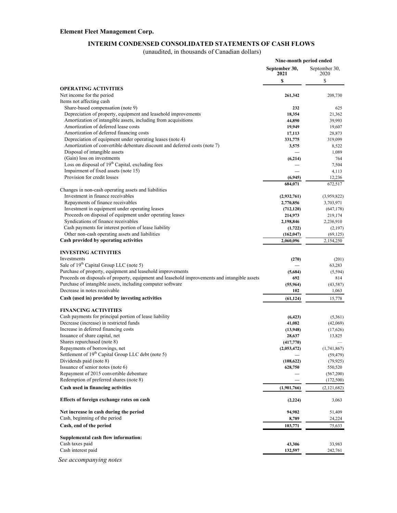### **INTERIM CONDENSED CONSOLIDATED STATEMENTS OF CASH FLOWS**

(unaudited, in thousands of Canadian dollars)

|                                                                                                                                  | Nine-month period ended |                          |
|----------------------------------------------------------------------------------------------------------------------------------|-------------------------|--------------------------|
|                                                                                                                                  | September 30,<br>2021   | September 30,<br>2020    |
|                                                                                                                                  | \$                      | \$                       |
| <b>OPERATING ACTIVITIES</b><br>Net income for the period                                                                         | 261,342                 | 208,730                  |
| Items not affecting cash                                                                                                         |                         |                          |
| Share-based compensation (note 9)                                                                                                | 232                     | 625                      |
| Depreciation of property, equipment and leasehold improvements<br>Amortization of intangible assets, including from acquisitions | 18,354<br>44,890        | 21,362<br>39,993         |
| Amortization of deferred lease costs                                                                                             | 19,949                  | 19,607                   |
| Amortization of deferred financing costs                                                                                         | 17,113                  | 28,873                   |
| Depreciation of equipment under operating leases (note 4)                                                                        | 331,775                 | 319,099                  |
| Amortization of convertible debenture discount and deferred costs (note 7)                                                       | 3,575                   | 8,522                    |
| Disposal of intangible assets                                                                                                    |                         | 1,089                    |
| (Gain) loss on investments                                                                                                       | (6,214)                 | 764                      |
| Loss on disposal of 19 <sup>th</sup> Capital, excluding fees                                                                     |                         | 7,504                    |
| Impairment of fixed assets (note 15)                                                                                             |                         | 4,113                    |
| Provision for credit losses                                                                                                      | (6,945)                 | 12,236                   |
|                                                                                                                                  | 684,071                 | 672,517                  |
| Changes in non-cash operating assets and liabilities                                                                             |                         |                          |
| Investment in finance receivables                                                                                                | (2,932,761)             | (3,959,822)              |
| Repayments of finance receivables                                                                                                | 2,770,856               | 3,703,971                |
| Investment in equipment under operating leases<br>Proceeds on disposal of equipment under operating leases                       | (712, 120)<br>214,973   | (647, 178)               |
| Syndications of finance receivables                                                                                              | 2,198,846               | 219,174<br>2,236,910     |
| Cash payments for interest portion of lease liability                                                                            | (1, 722)                | (2,197)                  |
| Other non-cash operating assets and liabilities                                                                                  | (162, 047)              | (69, 125)                |
| Cash provided by operating activities                                                                                            | 2,060,096               | 2,154,250                |
|                                                                                                                                  |                         |                          |
| <b>INVESTING ACTIVITIES</b>                                                                                                      |                         |                          |
| Investments                                                                                                                      | (270)                   | (201)                    |
| Sale of 19 <sup>th</sup> Capital Group LLC (note 5)                                                                              |                         | 63,283                   |
| Purchase of property, equipment and leasehold improvements                                                                       | (5,684)                 | (5,594)                  |
| Proceeds on disposals of property, equipment and leasehold improvements and intangible assets                                    | 692                     | 814                      |
| Purchase of intangible assets, including computer software                                                                       | (55, 964)               | (43, 587)                |
| Decrease in notes receivable                                                                                                     | 102                     | 1,063                    |
| Cash (used in) provided by investing activities                                                                                  | (61, 124)               | 15,778                   |
| <b>FINANCING ACTIVITIES</b>                                                                                                      |                         |                          |
| Cash payments for principal portion of lease liability                                                                           | (6, 423)                | (5,361)                  |
| Decrease (increase) in restricted funds                                                                                          | 41,082                  | (42,069)                 |
| Increase in deferred financing costs                                                                                             | (13, 948)               | (17,626)                 |
| Issuance of share capital, net                                                                                                   | 28,637                  | 13,825                   |
| Shares repurchased (note 8)                                                                                                      | (417,770)               |                          |
| Repayments of borrowings, net                                                                                                    | (2,053,472)             | (1,741,867)              |
| Settlement of 19 <sup>th</sup> Capital Group LLC debt (note 5)                                                                   |                         | (59, 479)                |
| Dividends paid (note 8)                                                                                                          | (108, 622)              | (79, 925)                |
| Issuance of senior notes (note 6)<br>Repayment of 2015 convertible debenture                                                     | 628,750                 | 550,520                  |
| Redemption of preferred shares (note 8)                                                                                          |                         | (567,200)                |
| Cash used in financing activities                                                                                                |                         | (172,500)<br>(2,121,682) |
|                                                                                                                                  | (1,901,766)             |                          |
| Effects of foreign exchange rates on cash                                                                                        | (2,224)                 | 3,063                    |
| Net increase in cash during the period                                                                                           | 94,982                  | 51,409                   |
| Cash, beginning of the period                                                                                                    | 8,789                   | 24,224                   |
| Cash, end of the period                                                                                                          | 103,771                 | 75,633                   |
| Supplemental cash flow information:                                                                                              |                         |                          |
| Cash taxes paid                                                                                                                  | 43,306                  | 33,983                   |
| Cash interest paid                                                                                                               | 132,597                 | 242,761                  |
|                                                                                                                                  |                         |                          |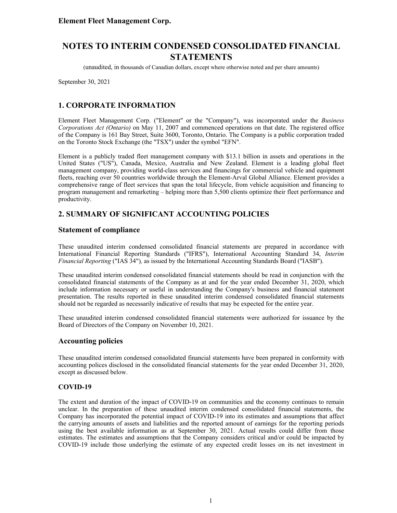(unaudited, in thousands of Canadian dollars, except where otherwise noted and per share amounts)

September 30, 2021

# **1. CORPORATE INFORMATION**

Element Fleet Management Corp. ("Element" or the "Company"), was incorporated under the *Business Corporations Act (Ontario)* on May 11, 2007 and commenced operations on that date. The registered office of the Company is 161 Bay Street, Suite 3600, Toronto, Ontario. The Company is a public corporation traded on the Toronto Stock Exchange (the "TSX") under the symbol "EFN".

Element is a publicly traded fleet management company with \$13.1 billion in assets and operations in the United States ("US"), Canada, Mexico, Australia and New Zealand. Element is a leading global fleet management company, providing world-class services and financings for commercial vehicle and equipment fleets, reaching over 50 countries worldwide through the Element-Arval Global Alliance. Element provides a comprehensive range of fleet services that span the total lifecycle, from vehicle acquisition and financing to program management and remarketing – helping more than 5,500 clients optimize their fleet performance and productivity.

### **2. SUMMARY OF SIGNIFICANT ACCOUNTING POLICIES**

### **Statement of compliance**

These unaudited interim condensed consolidated financial statements are prepared in accordance with International Financial Reporting Standards ("IFRS"), International Accounting Standard 34, *Interim Financial Reporting* ("IAS 34")*,* as issued by the International Accounting Standards Board ("IASB").

These unaudited interim condensed consolidated financial statements should be read in conjunction with the consolidated financial statements of the Company as at and for the year ended December 31, 2020, which include information necessary or useful in understanding the Company's business and financial statement presentation. The results reported in these unaudited interim condensed consolidated financial statements should not be regarded as necessarily indicative of results that may be expected for the entire year.

These unaudited interim condensed consolidated financial statements were authorized for issuance by the Board of Directors of the Company on November 10, 2021.

### **Accounting policies**

These unaudited interim condensed consolidated financial statements have been prepared in conformity with accounting polices disclosed in the consolidated financial statements for the year ended December 31, 2020, except as discussed below.

#### **COVID-19**

The extent and duration of the impact of COVID-19 on communities and the economy continues to remain unclear. In the preparation of these unaudited interim condensed consolidated financial statements, the Company has incorporated the potential impact of COVID-19 into its estimates and assumptions that affect the carrying amounts of assets and liabilities and the reported amount of earnings for the reporting periods using the best available information as at September 30, 2021. Actual results could differ from those estimates. The estimates and assumptions that the Company considers critical and/or could be impacted by COVID-19 include those underlying the estimate of any expected credit losses on its net investment in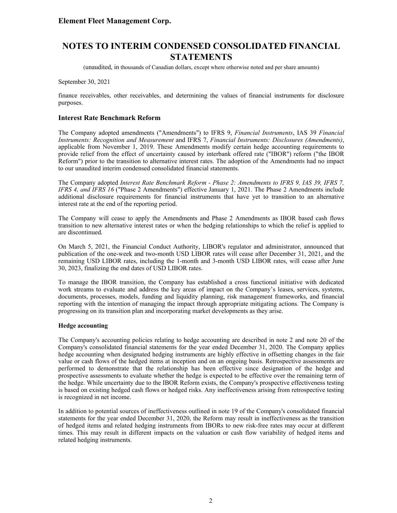(unaudited, in thousands of Canadian dollars, except where otherwise noted and per share amounts)

September 30, 2021

finance receivables, other receivables, and determining the values of financial instruments for disclosure purposes.

#### **Interest Rate Benchmark Reform**

The Company adopted amendments ("Amendments") to IFRS 9, *Financial Instruments*, IAS 39 *Financial Instruments: Recognition and Measurement* and IFRS 7, *Financial Instruments: Disclosures (Amendments)*, applicable from November 1, 2019. These Amendments modify certain hedge accounting requirements to provide relief from the effect of uncertainty caused by interbank offered rate ("IBOR") reform ("the IBOR Reform") prior to the transition to alternative interest rates. The adoption of the Amendments had no impact to our unaudited interim condensed consolidated financial statements.

The Company adopted *Interest Rate Benchmark Reform - Phase 2: Amendments to IFRS 9, IAS 39, IFRS 7, IFRS 4, and IFRS 16* ("Phase 2 Amendments") effective January 1, 2021. The Phase 2 Amendments include additional disclosure requirements for financial instruments that have yet to transition to an alternative interest rate at the end of the reporting period.

The Company will cease to apply the Amendments and Phase 2 Amendments as IBOR based cash flows transition to new alternative interest rates or when the hedging relationships to which the relief is applied to are discontinued.

On March 5, 2021, the Financial Conduct Authority, LIBOR's regulator and administrator, announced that publication of the one-week and two-month USD LIBOR rates will cease after December 31, 2021, and the remaining USD LIBOR rates, including the 1-month and 3-month USD LIBOR rates, will cease after June 30, 2023, finalizing the end dates of USD LIBOR rates.

To manage the IBOR transition, the Company has established a cross functional initiative with dedicated work streams to evaluate and address the key areas of impact on the Company's leases, services, systems, documents, processes, models, funding and liquidity planning, risk management frameworks, and financial reporting with the intention of managing the impact through appropriate mitigating actions. The Company is progressing on its transition plan and incorporating market developments as they arise.

#### **Hedge accounting**

The Company's accounting policies relating to hedge accounting are described in note 2 and note 20 of the Company's consolidated financial statements for the year ended December 31, 2020. The Company applies hedge accounting when designated hedging instruments are highly effective in offsetting changes in the fair value or cash flows of the hedged items at inception and on an ongoing basis. Retrospective assessments are performed to demonstrate that the relationship has been effective since designation of the hedge and prospective assessments to evaluate whether the hedge is expected to be effective over the remaining term of the hedge. While uncertainty due to the IBOR Reform exists, the Company's prospective effectiveness testing is based on existing hedged cash flows or hedged risks. Any ineffectiveness arising from retrospective testing is recognized in net income.

In addition to potential sources of ineffectiveness outlined in note 19 of the Company's consolidated financial statements for the year ended December 31, 2020, the Reform may result in ineffectiveness as the transition of hedged items and related hedging instruments from IBORs to new risk-free rates may occur at different times. This may result in different impacts on the valuation or cash flow variability of hedged items and related hedging instruments.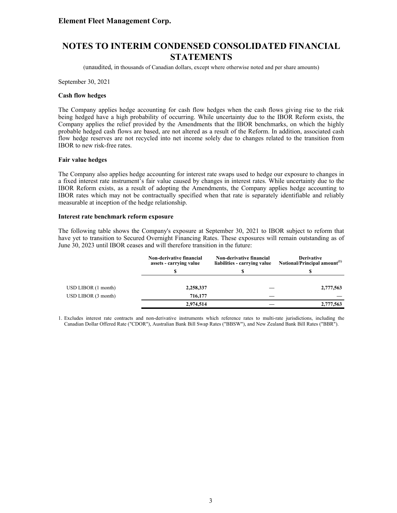# **NOTES TO INTERIM CONDENSED CONSOLIDATED FINANCIAL STATEMENTS**

(unaudited, in thousands of Canadian dollars, except where otherwise noted and per share amounts)

September 30, 2021

#### **Cash flow hedges**

The Company applies hedge accounting for cash flow hedges when the cash flows giving rise to the risk being hedged have a high probability of occurring. While uncertainty due to the IBOR Reform exists, the Company applies the relief provided by the Amendments that the IBOR benchmarks, on which the highly probable hedged cash flows are based, are not altered as a result of the Reform. In addition, associated cash flow hedge reserves are not recycled into net income solely due to changes related to the transition from IBOR to new risk-free rates.

#### **Fair value hedges**

The Company also applies hedge accounting for interest rate swaps used to hedge our exposure to changes in a fixed interest rate instrument's fair value caused by changes in interest rates. While uncertainty due to the IBOR Reform exists, as a result of adopting the Amendments, the Company applies hedge accounting to IBOR rates which may not be contractually specified when that rate is separately identifiable and reliably measurable at inception of the hedge relationship.

#### **Interest rate benchmark reform exposure**

The following table shows the Company's exposure at September 30, 2021 to IBOR subject to reform that have yet to transition to Secured Overnight Financing Rates. These exposures will remain outstanding as of June 30, 2023 until IBOR ceases and will therefore transition in the future:

|                    | <b>Non-derivative financial</b><br>assets - carrying value | <b>Non-derivative financial</b><br>liabilities - carrying value | <b>Derivative</b><br>Notional/Principal amount <sup>(1)</sup> |
|--------------------|------------------------------------------------------------|-----------------------------------------------------------------|---------------------------------------------------------------|
|                    |                                                            |                                                                 |                                                               |
| USD LIBOR(1 month) | 2,258,337                                                  |                                                                 | 2,777,563                                                     |
| USD LIBOR(3 month) | 716,177                                                    |                                                                 |                                                               |
|                    | 2,974,514                                                  |                                                                 | 2,777,563                                                     |

1. Excludes interest rate contracts and non-derivative instruments which reference rates to multi-rate jurisdictions, including the Canadian Dollar Offered Rate ("CDOR"), Australian Bank Bill Swap Rates ("BBSW"), and New Zealand Bank Bill Rates ("BBR").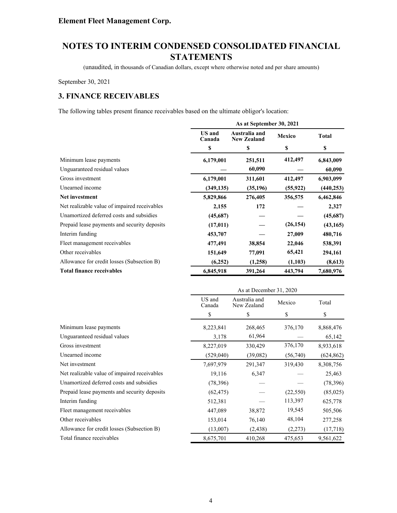(unaudited, in thousands of Canadian dollars, except where otherwise noted and per share amounts)

September 30, 2021

# **3. FINANCE RECEIVABLES**

The following tables present finance receivables based on the ultimate obligor's location:

|                                              | As at September 30, 2021 |                                     |               |              |
|----------------------------------------------|--------------------------|-------------------------------------|---------------|--------------|
|                                              | <b>US</b> and<br>Canada  | Australia and<br><b>New Zealand</b> | <b>Mexico</b> | <b>Total</b> |
|                                              | \$                       | \$                                  | \$            | \$           |
| Minimum lease payments                       | 6,179,001                | 251,511                             | 412,497       | 6,843,009    |
| Unguaranteed residual values                 |                          | 60,090                              |               | 60,090       |
| Gross investment                             | 6,179,001                | 311,601                             | 412,497       | 6,903,099    |
| Unearned income                              | (349, 135)               | (35,196)                            | (55, 922)     | (440, 253)   |
| Net investment                               | 5,829,866                | 276,405                             | 356,575       | 6,462,846    |
| Net realizable value of impaired receivables | 2,155                    | 172                                 |               | 2,327        |
| Unamortized deferred costs and subsidies     | (45,687)                 |                                     |               | (45,687)     |
| Prepaid lease payments and security deposits | (17,011)                 |                                     | (26, 154)     | (43, 165)    |
| Interim funding                              | 453,707                  |                                     | 27,009        | 480,716      |
| Fleet management receivables                 | 477,491                  | 38,854                              | 22,046        | 538,391      |
| Other receivables                            | 151,649                  | 77,091                              | 65,421        | 294,161      |
| Allowance for credit losses (Subsection B)   | (6,252)                  | (1,258)                             | (1,103)       | (8,613)      |
| <b>Total finance receivables</b>             | 6,845,918                | 391,264                             | 443,794       | 7,680,976    |

|                                              | As at December 31, 2020 |                              |           |            |
|----------------------------------------------|-------------------------|------------------------------|-----------|------------|
|                                              | US and<br>Canada        | Australia and<br>New Zealand | Mexico    | Total      |
|                                              | \$                      | \$                           | \$        | \$         |
| Minimum lease payments                       | 8,223,841               | 268,465                      | 376,170   | 8,868,476  |
| Unguaranteed residual values                 | 3,178                   | 61,964                       |           | 65,142     |
| Gross investment                             | 8,227,019               | 330,429                      | 376,170   | 8,933,618  |
| Unearned income                              | (529,040)               | (39,082)                     | (56,740)  | (624, 862) |
| Net investment                               | 7,697,979               | 291,347                      | 319,430   | 8,308,756  |
| Net realizable value of impaired receivables | 19,116                  | 6,347                        |           | 25,463     |
| Unamortized deferred costs and subsidies     | (78, 396)               |                              |           | (78, 396)  |
| Prepaid lease payments and security deposits | (62, 475)               |                              | (22, 550) | (85,025)   |
| Interim funding                              | 512,381                 |                              | 113,397   | 625,778    |
| Fleet management receivables                 | 447,089                 | 38,872                       | 19,545    | 505,506    |
| Other receivables                            | 153,014                 | 76,140                       | 48,104    | 277,258    |
| Allowance for credit losses (Subsection B)   | (13,007)                | (2, 438)                     | (2,273)   | (17,718)   |
| Total finance receivables                    | 8,675,701               | 410,268                      | 475,653   | 9,561,622  |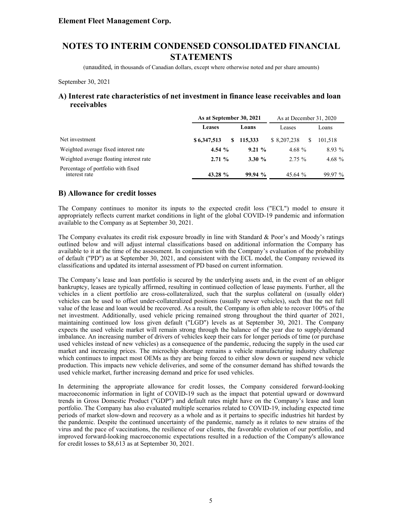(unaudited, in thousands of Canadian dollars, except where otherwise noted and per share amounts)

September 30, 2021

### **A) Interest rate characteristics of net investment in finance lease receivables and loan receivables**

|                                                     | As at September 30, 2021 |          | As at December 31, 2020 |          |
|-----------------------------------------------------|--------------------------|----------|-------------------------|----------|
|                                                     | Leases                   | Loans    | Leases                  | Loans    |
| Net investment                                      | \$6,347,513<br>S         | 115.333  | \$ 8,207,238<br>S       | 101.518  |
| Weighted average fixed interest rate                | 4.54 $%$                 | $9.21\%$ | 4.68 $%$                | $8.93\%$ |
| Weighted average floating interest rate             | $2.71\%$                 | 3.30%    | $2.75 \%$               | 4.68 $%$ |
| Percentage of portfolio with fixed<br>interest rate | 43.28 %                  | 99.94%   | 45.64 $%$               | 99.97 %  |

### **B) Allowance for credit losses**

The Company continues to monitor its inputs to the expected credit loss ("ECL") model to ensure it appropriately reflects current market conditions in light of the global COVID-19 pandemic and information available to the Company as at September 30, 2021.

The Company evaluates its credit risk exposure broadly in line with Standard & Poor's and Moody's ratings outlined below and will adjust internal classifications based on additional information the Company has available to it at the time of the assessment. In conjunction with the Company's evaluation of the probability of default ("PD") as at September 30, 2021, and consistent with the ECL model, the Company reviewed its classifications and updated its internal assessment of PD based on current information.

The Company's lease and loan portfolio is secured by the underlying assets and, in the event of an obligor bankruptcy, leases are typically affirmed, resulting in continued collection of lease payments. Further, all the vehicles in a client portfolio are cross-collateralized, such that the surplus collateral on (usually older) vehicles can be used to offset under-collateralized positions (usually newer vehicles), such that the net full value of the lease and loan would be recovered. As a result, the Company is often able to recover 100% of the net investment. Additionally, used vehicle pricing remained strong throughout the third quarter of 2021, maintaining continued low loss given default ("LGD") levels as at September 30, 2021. The Company expects the used vehicle market will remain strong through the balance of the year due to supply/demand imbalance. An increasing number of drivers of vehicles keep their cars for longer periods of time (or purchase used vehicles instead of new vehicles) as a consequence of the pandemic, reducing the supply in the used car market and increasing prices. The microchip shortage remains a vehicle manufacturing industry challenge which continues to impact most OEMs as they are being forced to either slow down or suspend new vehicle production. This impacts new vehicle deliveries, and some of the consumer demand has shifted towards the used vehicle market, further increasing demand and price for used vehicles.

In determining the appropriate allowance for credit losses, the Company considered forward-looking macroeconomic information in light of COVID-19 such as the impact that potential upward or downward trends in Gross Domestic Product ("GDP") and default rates might have on the Company's lease and loan portfolio. The Company has also evaluated multiple scenarios related to COVID-19, including expected time periods of market slow-down and recovery as a whole and as it pertains to specific industries hit hardest by the pandemic. Despite the continued uncertainty of the pandemic, namely as it relates to new strains of the virus and the pace of vaccinations, the resilience of our clients, the favorable evolution of our portfolio, and improved forward-looking macroeconomic expectations resulted in a reduction of the Company's allowance for credit losses to \$8,613 as at September 30, 2021.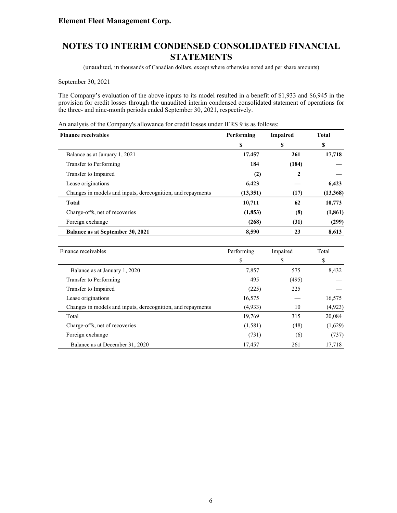# **NOTES TO INTERIM CONDENSED CONSOLIDATED FINANCIAL STATEMENTS**

(unaudited, in thousands of Canadian dollars, except where otherwise noted and per share amounts)

September 30, 2021

The Company's evaluation of the above inputs to its model resulted in a benefit of \$1,933 and \$6,945 in the provision for credit losses through the unaudited interim condensed consolidated statement of operations for the three- and nine-month periods ended September 30, 2021, respectively.

An analysis of the Company's allowance for credit losses under IFRS 9 is as follows:

| <b>Finance receivables</b>                                  | Performing | <b>Impaired</b> | <b>Total</b> |
|-------------------------------------------------------------|------------|-----------------|--------------|
|                                                             | \$         | \$              | \$           |
| Balance as at January 1, 2021                               | 17,457     | 261             | 17,718       |
| Transfer to Performing                                      | 184        | (184)           |              |
| Transfer to Impaired                                        | (2)        | 2               |              |
| Lease originations                                          | 6,423      |                 | 6,423        |
| Changes in models and inputs, derecognition, and repayments | (13,351)   | (17)            | (13,368)     |
| <b>Total</b>                                                | 10,711     | 62              | 10,773       |
| Charge-offs, net of recoveries                              | (1, 853)   | (8)             | (1, 861)     |
| Foreign exchange                                            | (268)      | (31)            | (299)        |
| Balance as at September 30, 2021                            | 8,590      | 23              | 8,613        |

| Finance receivables                                         | Performing | Impaired | Total    |
|-------------------------------------------------------------|------------|----------|----------|
|                                                             | \$         | \$       | \$       |
| Balance as at January 1, 2020                               | 7,857      | 575      | 8,432    |
| Transfer to Performing                                      | 495        | (495)    |          |
| Transfer to Impaired                                        | (225)      | 225      |          |
| Lease originations                                          | 16,575     |          | 16,575   |
| Changes in models and inputs, derecognition, and repayments | (4,933)    | 10       | (4, 923) |
| Total                                                       | 19,769     | 315      | 20,084   |
| Charge-offs, net of recoveries                              | (1,581)    | (48)     | (1,629)  |
| Foreign exchange                                            | (731)      | (6)      | (737)    |
| Balance as at December 31, 2020                             | 17,457     | 261      | 17,718   |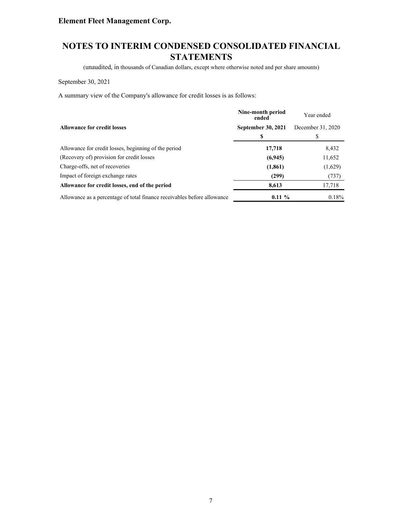# **NOTES TO INTERIM CONDENSED CONSOLIDATED FINANCIAL STATEMENTS**

(unaudited, in thousands of Canadian dollars, except where otherwise noted and per share amounts)

September 30, 2021

A summary view of the Company's allowance for credit losses is as follows:

|                                                                         | Nine-month period<br>ended | Year ended        |
|-------------------------------------------------------------------------|----------------------------|-------------------|
| <b>Allowance for credit losses</b>                                      | <b>September 30, 2021</b>  | December 31, 2020 |
|                                                                         |                            |                   |
| Allowance for credit losses, beginning of the period                    | 17,718                     | 8,432             |
| (Recovery of) provision for credit losses                               | (6,945)                    | 11,652            |
| Charge-offs, net of recoveries                                          | (1, 861)                   | (1,629)           |
| Impact of foreign exchange rates                                        | (299)                      | (737)             |
| Allowance for credit losses, end of the period                          | 8,613                      | 17,718            |
| Allowance as a percentage of total finance receivables before allowance | $0.11 \%$                  | 0.18%             |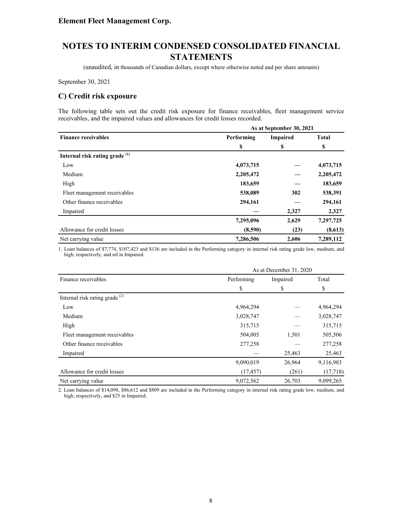(unaudited, in thousands of Canadian dollars, except where otherwise noted and per share amounts)

September 30, 2021

### **C) Credit risk exposure**

The following table sets out the credit risk exposure for finance receivables, fleet management service receivables, and the impaired values and allowances for credit losses recorded.

|                                           |            | As at September 30, 2021 |              |  |  |
|-------------------------------------------|------------|--------------------------|--------------|--|--|
| <b>Finance receivables</b>                | Performing | <b>Impaired</b>          | <b>Total</b> |  |  |
|                                           | \$         | \$                       | \$           |  |  |
| Internal risk rating grade <sup>(1)</sup> |            |                          |              |  |  |
| Low                                       | 4,073,715  |                          | 4,073,715    |  |  |
| Medium                                    | 2,205,472  |                          | 2,205,472    |  |  |
| High                                      | 183,659    |                          | 183,659      |  |  |
| Fleet management receivables              | 538,089    | 302                      | 538,391      |  |  |
| Other finance receivables                 | 294,161    |                          | 294,161      |  |  |
| Impaired                                  |            | 2,327                    | 2,327        |  |  |
|                                           | 7,295,096  | 2,629                    | 7,297,725    |  |  |
| Allowance for credit losses               | (8,590)    | (23)                     | (8,613)      |  |  |
| Net carrying value                        | 7,286,506  | 2,606                    | 7,289,112    |  |  |

1. Loan balances of \$7,774, \$107,423 and \$136 are included in the Performing category in internal risk rating grade low, medium, and high, respectively, and nil in Impaired.

|                                           |            | As at December 31, 2020 |           |  |  |
|-------------------------------------------|------------|-------------------------|-----------|--|--|
| Finance receivables                       | Performing | Impaired                | Total     |  |  |
|                                           | \$         | \$                      | \$        |  |  |
| Internal risk rating grade <sup>(2)</sup> |            |                         |           |  |  |
| Low                                       | 4,964,294  |                         | 4,964,294 |  |  |
| Medium                                    | 3,028,747  |                         | 3,028,747 |  |  |
| High                                      | 315,715    |                         | 315,715   |  |  |
| Fleet management receivables              | 504,005    | 1,501                   | 505,506   |  |  |
| Other finance receivables                 | 277,258    |                         | 277,258   |  |  |
| Impaired                                  |            | 25,463                  | 25,463    |  |  |
|                                           | 9,090,019  | 26,964                  | 9,116,983 |  |  |
| Allowance for credit losses               | (17, 457)  | (261)                   | (17,718)  |  |  |
| Net carrying value                        | 9,072,562  | 26,703                  | 9,099,265 |  |  |

2. Loan balances of \$14,098, \$86,612 and \$809 are included in the Performing category in internal risk rating grade low, medium, and high, respectively, and \$25 in Impaired.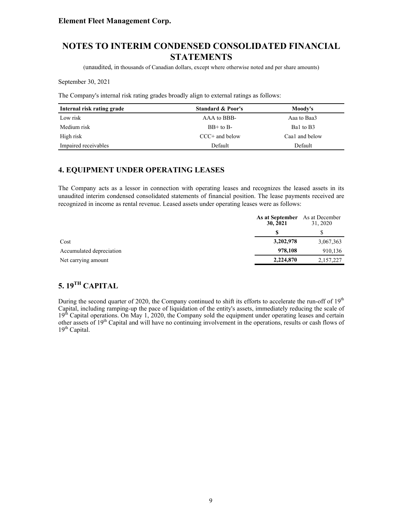# **NOTES TO INTERIM CONDENSED CONSOLIDATED FINANCIAL STATEMENTS**

(unaudited, in thousands of Canadian dollars, except where otherwise noted and per share amounts)

September 30, 2021

The Company's internal risk rating grades broadly align to external ratings as follows:

| Internal risk rating grade | <b>Standard &amp; Poor's</b> | Moody's        |
|----------------------------|------------------------------|----------------|
| Low risk                   | AAA to BBB-                  | Aaa to Baa3    |
| Medium risk                | $BB+$ to $B-$                | Bal to B3      |
| High risk                  | $CCC+$ and below             | Caa1 and below |
| Impaired receivables       | Default                      | Default        |

### **4. EQUIPMENT UNDER OPERATING LEASES**

The Company acts as a lessor in connection with operating leases and recognizes the leased assets in its unaudited interim condensed consolidated statements of financial position. The lease payments received are recognized in income as rental revenue. Leased assets under operating leases were as follows:

|                          | <b>As at September</b> As at December<br>30, 2021 | 31, 2020  |
|--------------------------|---------------------------------------------------|-----------|
|                          |                                                   |           |
| Cost                     | 3,202,978                                         | 3,067,363 |
| Accumulated depreciation | 978,108                                           | 910,136   |
| Net carrying amount      | 2,224,870                                         | 2,157,227 |

# **5. 19TH CAPITAL**

During the second quarter of 2020, the Company continued to shift its efforts to accelerate the run-off of 19<sup>th</sup> Capital, including ramping-up the pace of liquidation of the entity's assets, immediately reducing the scale of 19<sup>th</sup> Capital operations. On May 1, 2020, the Company sold the equipment under operating leases and certain other assets of 19<sup>th</sup> Capital and will have no continuing involvement in the operations, results or cash flows of  $19<sup>th</sup>$  Capital.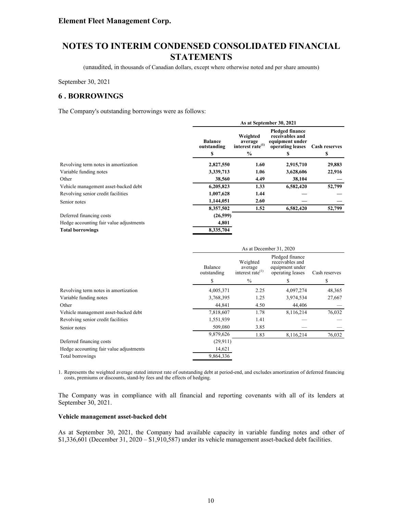(unaudited, in thousands of Canadian dollars, except where otherwise noted and per share amounts)

September 30, 2021

### **6 . BORROWINGS**

The Company's outstanding borrowings were as follows:

|                               | As at September 30, 2021                            |                                                                                  |                      |  |
|-------------------------------|-----------------------------------------------------|----------------------------------------------------------------------------------|----------------------|--|
| <b>Balance</b><br>outstanding | Weighted<br>average<br>interest rate <sup>(1)</sup> | <b>Pledged finance</b><br>receivables and<br>equipment under<br>operating leases | <b>Cash reserves</b> |  |
|                               |                                                     |                                                                                  | S                    |  |
| 2,827,550                     | 1.60                                                | 2,915,710                                                                        | 29,883               |  |
| 3,339,713                     | 1.06                                                | 3,628,606                                                                        | 22,916               |  |
| 38,560                        | 4.49                                                | 38,104                                                                           |                      |  |
| 6,205,823                     | 1.33                                                | 6,582,420                                                                        | 52,799               |  |
| 1,007,628                     | 1.44                                                |                                                                                  |                      |  |
| 1,144,051                     | 2.60                                                |                                                                                  |                      |  |
| 8,357,502                     | 1.52                                                | 6,582,420                                                                        | 52,799               |  |
| (26,599)                      |                                                     |                                                                                  |                      |  |
| 4,801                         |                                                     |                                                                                  |                      |  |
| 8,335,704                     |                                                     |                                                                                  |                      |  |
|                               | S                                                   | $\frac{6}{9}$                                                                    | s                    |  |

|                                         | As at December 31, 2020 |                                                     |                                                                           |               |
|-----------------------------------------|-------------------------|-----------------------------------------------------|---------------------------------------------------------------------------|---------------|
|                                         | Balance<br>outstanding  | Weighted<br>average<br>interest rate <sup>(1)</sup> | Pledged finance<br>receivables and<br>equipment under<br>operating leases | Cash reserves |
|                                         | S                       | $\%$                                                | \$                                                                        | \$            |
| Revolving term notes in amortization    | 4,005,371               | 2.25                                                | 4,097,274                                                                 | 48,365        |
| Variable funding notes                  | 3,768,395               | 1.25                                                | 3,974,534                                                                 | 27,667        |
| Other                                   | 44,841                  | 4.50                                                | 44,406                                                                    |               |
| Vehicle management asset-backed debt    | 7,818,607               | 1.78                                                | 8,116,214                                                                 | 76,032        |
| Revolving senior credit facilities      | 1,551,939               | 1.41                                                |                                                                           |               |
| Senior notes                            | 509,080                 | 3.85                                                |                                                                           |               |
|                                         | 9,879,626               | 1.83                                                | 8,116,214                                                                 | 76,032        |
| Deferred financing costs                | (29, 911)               |                                                     |                                                                           |               |
| Hedge accounting fair value adjustments | 14,621                  |                                                     |                                                                           |               |
| Total borrowings                        | 9,864,336               |                                                     |                                                                           |               |

1. Represents the weighted average stated interest rate of outstanding debt at period-end, and excludes amortization of deferred financing costs, premiums or discounts, stand-by fees and the effects of hedging.

The Company was in compliance with all financial and reporting covenants with all of its lenders at September 30, 2021.

#### **Vehicle management asset-backed debt**

As at September 30, 2021, the Company had available capacity in variable funding notes and other of \$1,336,601 (December 31, 2020 – \$1,910,587) under its vehicle management asset-backed debt facilities.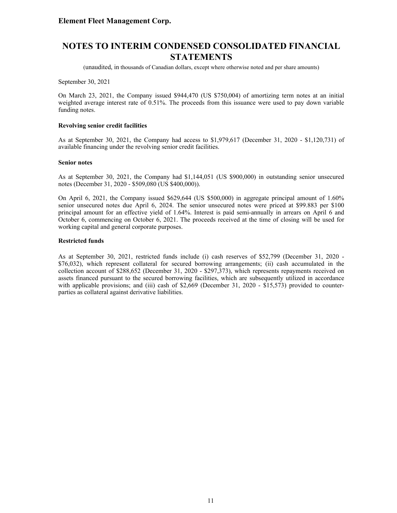(unaudited, in thousands of Canadian dollars, except where otherwise noted and per share amounts)

September 30, 2021

On March 23, 2021, the Company issued \$944,470 (US \$750,004) of amortizing term notes at an initial weighted average interest rate of 0.51%. The proceeds from this issuance were used to pay down variable funding notes.

#### **Revolving senior credit facilities**

As at September 30, 2021, the Company had access to \$1,979,617 (December 31, 2020 - \$1,120,731) of available financing under the revolving senior credit facilities.

#### **Senior notes**

As at September 30, 2021, the Company had \$1,144,051 (US \$900,000) in outstanding senior unsecured notes (December 31, 2020 - \$509,080 (US \$400,000)).

On April 6, 2021, the Company issued \$629,644 (US \$500,000) in aggregate principal amount of 1.60% senior unsecured notes due April 6, 2024. The senior unsecured notes were priced at \$99.883 per \$100 principal amount for an effective yield of 1.64%. Interest is paid semi-annually in arrears on April 6 and October 6, commencing on October 6, 2021. The proceeds received at the time of closing will be used for working capital and general corporate purposes.

#### **Restricted funds**

As at September 30, 2021, restricted funds include (i) cash reserves of \$52,799 (December 31, 2020 - \$76,032), which represent collateral for secured borrowing arrangements; (ii) cash accumulated in the collection account of \$288,652 (December 31, 2020 - \$297,373), which represents repayments received on assets financed pursuant to the secured borrowing facilities, which are subsequently utilized in accordance with applicable provisions; and (iii) cash of \$2,669 (December 31, 2020 - \$15,573) provided to counterparties as collateral against derivative liabilities.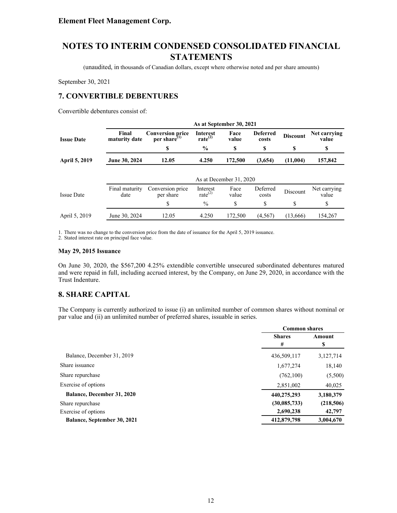(unaudited, in thousands of Canadian dollars, except where otherwise noted and per share amounts)

September 30, 2021

# **7. CONVERTIBLE DEBENTURES**

Convertible debentures consist of:

|                   |                        |                                               |                                        | As at September 30, 2021 |                          |                 |                       |
|-------------------|------------------------|-----------------------------------------------|----------------------------------------|--------------------------|--------------------------|-----------------|-----------------------|
| <b>Issue Date</b> | Final<br>maturity date | <b>Conversion price</b><br>per share $^{(1)}$ | <b>Interest</b><br>rate <sup>(2)</sup> | Face<br>value            | <b>Deferred</b><br>costs | <b>Discount</b> | Net carrying<br>value |
|                   |                        | \$                                            | $\frac{6}{9}$                          | \$                       | \$                       | S               | \$                    |
| April 5, 2019     | June 30, 2024          | 12.05                                         | 4.250                                  | 172,500                  | (3,654)                  | (11,004)        | 157,842               |
|                   |                        |                                               |                                        |                          |                          |                 |                       |
|                   |                        |                                               |                                        | As at December 31, 2020  |                          |                 |                       |
| <b>Issue Date</b> | Final maturity<br>date | Conversion price<br>per share                 | Interest<br>rate $^{(2)}$              | Face<br>value            | Deferred<br>costs        | Discount        | Net carrying<br>value |
|                   |                        | \$                                            | $\frac{0}{0}$                          | \$                       | \$                       | \$              | \$                    |
| April 5, 2019     | June 30, 2024          | 12.05                                         | 4.250                                  | 172,500                  | (4, 567)                 | (13,666)        | 154,267               |

1. There was no change to the conversion price from the date of issuance for the April 5, 2019 issuance.

2. Stated interest rate on principal face value.

#### **May 29, 2015 Issuance**

On June 30, 2020, the \$567,200 4.25% extendible convertible unsecured subordinated debentures matured and were repaid in full, including accrued interest, by the Company, on June 29, 2020, in accordance with the Trust Indenture.

### **8. SHARE CAPITAL**

The Company is currently authorized to issue (i) an unlimited number of common shares without nominal or par value and (ii) an unlimited number of preferred shares, issuable in series.

|                                   | <b>Common shares</b> |             |
|-----------------------------------|----------------------|-------------|
|                                   | <b>Shares</b><br>#   | Amount<br>S |
| Balance, December 31, 2019        | 436,509,117          | 3,127,714   |
| Share issuance                    | 1,677,274            | 18,140      |
| Share repurchase                  | (762, 100)           | (5,500)     |
| Exercise of options               | 2,851,002            | 40,025      |
| <b>Balance, December 31, 2020</b> | 440,275,293          | 3,180,379   |
| Share repurchase                  | (30, 085, 733)       | (218,506)   |
| Exercise of options               | 2,690,238            | 42,797      |
| Balance, September 30, 2021       | 412,879,798          | 3,004,670   |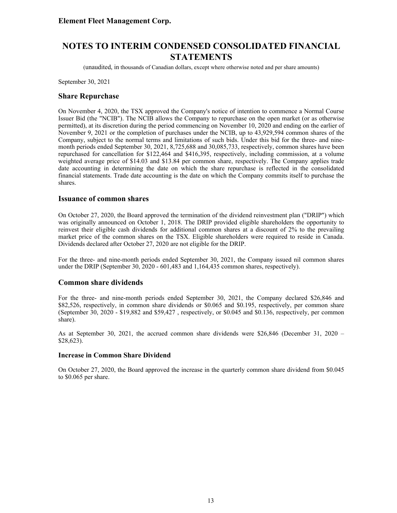(unaudited, in thousands of Canadian dollars, except where otherwise noted and per share amounts)

September 30, 2021

### **Share Repurchase**

On November 4, 2020, the TSX approved the Company's notice of intention to commence a Normal Course Issuer Bid (the "NCIB"). The NCIB allows the Company to repurchase on the open market (or as otherwise permitted), at its discretion during the period commencing on November 10, 2020 and ending on the earlier of November 9, 2021 or the completion of purchases under the NCIB, up to 43,929,594 common shares of the Company, subject to the normal terms and limitations of such bids. Under this bid for the three- and ninemonth periods ended September 30, 2021, 8,725,688 and 30,085,733, respectively, common shares have been repurchased for cancellation for \$122,464 and \$416,395, respectively, including commission, at a volume weighted average price of \$14.03 and \$13.84 per common share, respectively. The Company applies trade date accounting in determining the date on which the share repurchase is reflected in the consolidated financial statements. Trade date accounting is the date on which the Company commits itself to purchase the shares.

#### **Issuance of common shares**

On October 27, 2020, the Board approved the termination of the dividend reinvestment plan ("DRIP") which was originally announced on October 1, 2018. The DRIP provided eligible shareholders the opportunity to reinvest their eligible cash dividends for additional common shares at a discount of 2% to the prevailing market price of the common shares on the TSX. Eligible shareholders were required to reside in Canada. Dividends declared after October 27, 2020 are not eligible for the DRIP.

For the three- and nine-month periods ended September 30, 2021, the Company issued nil common shares under the DRIP (September 30, 2020 - 601,483 and 1,164,435 common shares, respectively).

### **Common share dividends**

For the three- and nine-month periods ended September 30, 2021, the Company declared \$26,846 and \$82,526, respectively, in common share dividends or \$0.065 and \$0.195, respectively, per common share (September 30, 2020 - \$19,882 and \$59,427 , respectively, or \$0.045 and \$0.136, respectively, per common share).

As at September 30, 2021, the accrued common share dividends were \$26,846 (December 31, 2020 – \$28,623).

#### **Increase in Common Share Dividend**

On October 27, 2020, the Board approved the increase in the quarterly common share dividend from \$0.045 to \$0.065 per share.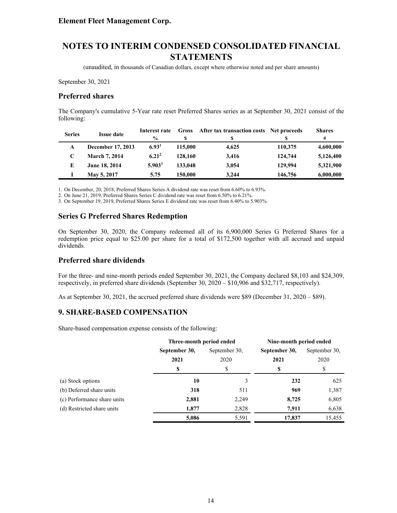(unaudited, in thousands of Canadian dollars, except where otherwise noted and per share amounts)

September 30, 2021

#### **Preferred shares**

The Company's cumulative 5-Year rate reset Preferred Shares series as at September 30, 2021 consist of the following:

| <b>Series</b> | <b>Issue date</b>    | Interest rate     | Gross   | After tax transaction costs Net proceeds |         | <b>Shares</b> |
|---------------|----------------------|-------------------|---------|------------------------------------------|---------|---------------|
|               |                      | $\frac{0}{0}$     |         | S                                        |         | #             |
| A             | December 17, 2013    | 6.93 <sup>1</sup> | 115,000 | 4.625                                    | 110,375 | 4,600,000     |
|               | <b>March 7, 2014</b> | $6.21^{2}$        | 128,160 | 3.416                                    | 124,744 | 5,126,400     |
| E             | June 18, 2014        | $5.903^3$         | 133,048 | 3,054                                    | 129,994 | 5,321,900     |
|               | May 5, 2017          | 5.75              | 150,000 | 3.244                                    | 146,756 | 6,000,000     |

1. On December, 20, 2018, Preferred Shares Series A dividend rate was reset from 6.60% to 6.93%.

2. On June 21, 2019, Preferred Shares Series C dividend rate was reset from 6.50% to 6.21%.

3. On September 19, 2019, Preferred Shares Series E dividend rate was reset from 6.40% to 5.903%.

### **Series G Preferred Shares Redemption**

On September 30, 2020, the Company redeemed all of its 6,900,000 Series G Preferred Shares for a redemption price equal to \$25.00 per share for a total of \$172,500 together with all accrued and unpaid dividends.

### **Preferred share dividends**

For the three- and nine-month periods ended September 30, 2021, the Company declared \$8,103 and \$24,309, respectively, in preferred share dividends (September 30, 2020 – \$10,906 and \$32,717, respectively).

As at September 30, 2021, the accrued preferred share dividends were \$89 (December 31, 2020 – \$89).

### **9. SHARE-BASED COMPENSATION**

Share-based compensation expense consists of the following:

|                             | Three-month period ended |               | Nine-month period ended |                       |  |
|-----------------------------|--------------------------|---------------|-------------------------|-----------------------|--|
|                             | September 30,            | September 30, | September 30,           | September 30,<br>2020 |  |
|                             | 2021                     | 2020          | 2021                    |                       |  |
|                             | \$                       | \$            | S                       | \$                    |  |
| (a) Stock options           | 10                       |               | 232                     | 625                   |  |
| (b) Deferred share units    | 318                      | 511           | 969                     | 1,387                 |  |
| (c) Performance share units | 2,881                    | 2,249         | 8,725                   | 6,805                 |  |
| (d) Restricted share units  | 1,877                    | 2,828         | 7,911                   | 6,638                 |  |
|                             | 5,086                    | 5,591         | 17,837                  | 15,455                |  |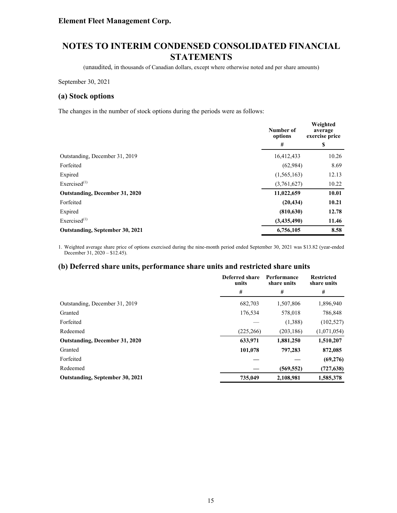(unaudited, in thousands of Canadian dollars, except where otherwise noted and per share amounts)

September 30, 2021

#### **(a) Stock options**

The changes in the number of stock options during the periods were as follows:

|                                 | Number of<br>options | Weighted<br>average<br>exercise price |
|---------------------------------|----------------------|---------------------------------------|
|                                 | #                    | \$                                    |
| Outstanding, December 31, 2019  | 16,412,433           | 10.26                                 |
| Forfeited                       | (62,984)             | 8.69                                  |
| Expired                         | (1, 565, 163)        | 12.13                                 |
| Exercised $^{(1)}$              | (3,761,627)          | 10.22                                 |
| Outstanding, December 31, 2020  | 11,022,659           | 10.01                                 |
| Forfeited                       | (20, 434)            | 10.21                                 |
| Expired                         | (810, 630)           | 12.78                                 |
| Exercised <sup>(1)</sup>        | (3,435,490)          | 11.46                                 |
| Outstanding, September 30, 2021 | 6,756,105            | 8.58                                  |

1. Weighted average share price of options exercised during the nine-month period ended September 30, 2021 was \$13.82 (year-ended December 31,  $2020 - 12.45$ .

#### **(b) Deferred share units, performance share units and restricted share units**

|                                       | Deferred share<br>units | Performance<br>share units | <b>Restricted</b><br>share units |  |
|---------------------------------------|-------------------------|----------------------------|----------------------------------|--|
|                                       | #                       | #                          | #                                |  |
| Outstanding, December 31, 2019        | 682,703                 | 1,507,806                  | 1,896,940                        |  |
| Granted                               | 176,534                 | 578,018                    | 786,848                          |  |
| Forfeited                             |                         | (1,388)                    | (102, 527)                       |  |
| Redeemed                              | (225, 266)              | (203, 186)                 | (1,071,054)                      |  |
| <b>Outstanding, December 31, 2020</b> | 633,971                 | 1,881,250                  | 1,510,207                        |  |
| Granted                               | 101,078                 | 797,283                    | 872,085                          |  |
| Forfeited                             |                         |                            | (69,276)                         |  |
| Redeemed                              |                         | (569, 552)                 | (727, 638)                       |  |
| Outstanding, September 30, 2021       | 735,049                 | 2,108,981                  | 1,585,378                        |  |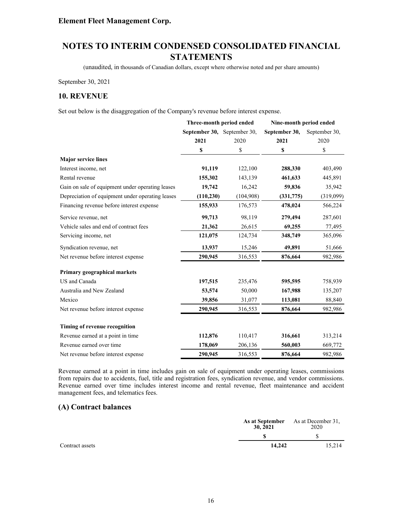(unaudited, in thousands of Canadian dollars, except where otherwise noted and per share amounts)

September 30, 2021

### **10. REVENUE**

Set out below is the disaggregation of the Company's revenue before interest expense.

|                                                  | Three-month period ended    |           | Nine-month period ended |               |  |
|--------------------------------------------------|-----------------------------|-----------|-------------------------|---------------|--|
|                                                  | September 30, September 30, |           | September 30,           | September 30, |  |
|                                                  | 2021                        | 2020      | 2021                    | 2020          |  |
|                                                  | \$                          | \$        | \$                      | \$            |  |
| <b>Major service lines</b>                       |                             |           |                         |               |  |
| Interest income, net                             | 91,119                      | 122,100   | 288,330                 | 403,490       |  |
| Rental revenue                                   | 155,302                     | 143,139   | 461,633                 | 445,891       |  |
| Gain on sale of equipment under operating leases | 19,742                      | 16,242    | 59,836                  | 35,942        |  |
| Depreciation of equipment under operating leases | (110, 230)                  | (104,908) | (331,775)               | (319,099)     |  |
| Financing revenue before interest expense        | 155,933                     | 176,573   | 478,024                 | 566,224       |  |
| Service revenue, net                             | 99,713                      | 98,119    | 279,494                 | 287,601       |  |
| Vehicle sales and end of contract fees           | 21,362                      | 26,615    | 69,255                  | 77,495        |  |
| Servicing income, net                            | 121,075                     | 124,734   | 348,749                 | 365,096       |  |
| Syndication revenue, net                         | 13,937                      | 15,246    | 49,891                  | 51,666        |  |
| Net revenue before interest expense              | 290,945                     | 316,553   | 876,664                 | 982,986       |  |
| Primary geographical markets                     |                             |           |                         |               |  |
| US and Canada                                    | 197,515                     | 235,476   | 595,595                 | 758,939       |  |
| Australia and New Zealand                        | 53,574                      | 50,000    | 167,988                 | 135,207       |  |
| Mexico                                           | 39,856                      | 31,077    | 113,081                 | 88,840        |  |
| Net revenue before interest expense              | 290,945                     | 316,553   | 876,664                 | 982,986       |  |
| Timing of revenue recognition                    |                             |           |                         |               |  |
| Revenue earned at a point in time                | 112,876                     | 110,417   | 316,661                 | 313,214       |  |
| Revenue earned over time                         | 178,069                     | 206,136   | 560,003                 | 669,772       |  |
| Net revenue before interest expense              | 290,945                     | 316,553   | 876,664                 | 982,986       |  |

Revenue earned at a point in time includes gain on sale of equipment under operating leases, commissions from repairs due to accidents, fuel, title and registration fees, syndication revenue, and vendor commissions. Revenue earned over time includes interest income and rental revenue, fleet maintenance and accident management fees, and telematics fees.

### **(A) Contract balances**

|                 | 30, 2021 | <b>As at September</b> As at December 31,<br>2020 |  |
|-----------------|----------|---------------------------------------------------|--|
|                 |          |                                                   |  |
| Contract assets | 14.242   | 15.214                                            |  |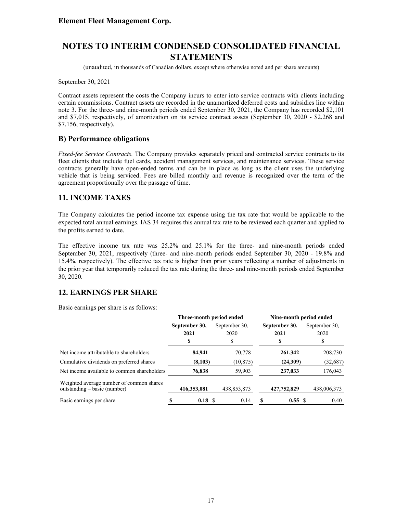(unaudited, in thousands of Canadian dollars, except where otherwise noted and per share amounts)

September 30, 2021

Contract assets represent the costs the Company incurs to enter into service contracts with clients including certain commissions. Contract assets are recorded in the unamortized deferred costs and subsidies line within note 3. For the three- and nine-month periods ended September 30, 2021, the Company has recorded \$2,101 and \$7,015, respectively, of amortization on its service contract assets (September 30, 2020 - \$2,268 and \$7,156, respectively).

### **B) Performance obligations**

*Fixed-fee Service Contracts.* The Company provides separately priced and contracted service contracts to its fleet clients that include fuel cards, accident management services, and maintenance services. These service contracts generally have open-ended terms and can be in place as long as the client uses the underlying vehicle that is being serviced. Fees are billed monthly and revenue is recognized over the term of the agreement proportionally over the passage of time.

### **11. INCOME TAXES**

The Company calculates the period income tax expense using the tax rate that would be applicable to the expected total annual earnings. IAS 34 requires this annual tax rate to be reviewed each quarter and applied to the profits earned to date.

The effective income tax rate was 25.2% and 25.1% for the three- and nine-month periods ended September 30, 2021, respectively (three- and nine-month periods ended September 30, 2020 - 19.8% and 15.4%, respectively). The effective tax rate is higher than prior years reflecting a number of adjustments in the prior year that temporarily reduced the tax rate during the three- and nine-month periods ended September 30, 2020.

### **12. EARNINGS PER SHARE**

Basic earnings per share is as follows:

|                                                                            | Three-month period ended |             |  | Nine-month period ended |   |               |  |               |
|----------------------------------------------------------------------------|--------------------------|-------------|--|-------------------------|---|---------------|--|---------------|
|                                                                            | September 30,            |             |  | September 30.           |   | September 30, |  | September 30. |
|                                                                            |                          | 2021        |  | 2020                    |   | 2021          |  | 2020          |
|                                                                            |                          | \$          |  | S                       |   | \$            |  |               |
| Net income attributable to shareholders                                    |                          | 84,941      |  | 70,778                  |   | 261,342       |  | 208,730       |
| Cumulative dividends on preferred shares                                   |                          | (8,103)     |  | (10, 875)               |   | (24,309)      |  | (32, 687)     |
| Net income available to common shareholders                                |                          | 76,838      |  | 59,903                  |   | 237,033       |  | 176,043       |
| Weighted average number of common shares<br>outstanding $-$ basic (number) |                          | 416,353,081 |  | 438,853,873             |   | 427,752,829   |  | 438,006,373   |
| Basic earnings per share                                                   |                          | 0.18 S      |  | 0.14                    | S | 0.55 S        |  | 0.40          |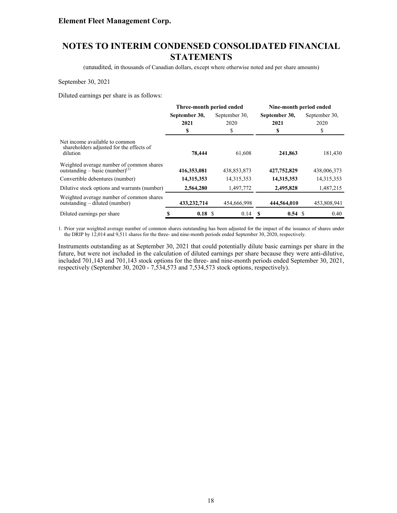# **NOTES TO INTERIM CONDENSED CONSOLIDATED FINANCIAL STATEMENTS**

(unaudited, in thousands of Canadian dollars, except where otherwise noted and per share amounts)

#### September 30, 2021

Diluted earnings per share is as follows:

|                                                                                         | Three-month period ended |                       | Nine-month period ended |                       |  |
|-----------------------------------------------------------------------------------------|--------------------------|-----------------------|-------------------------|-----------------------|--|
|                                                                                         | September 30,<br>2021    | September 30.<br>2020 | September 30,<br>2021   | September 30.<br>2020 |  |
|                                                                                         | \$                       | \$                    | S                       | \$                    |  |
| Net income available to common<br>shareholders adjusted for the effects of<br>dilution  | 78,444                   | 61,608                | 241,863                 | 181,430               |  |
| Weighted average number of common shares<br>outstanding – basic (number) <sup>(1)</sup> | 416,353,081              | 438,853,873           | 427,752,829             | 438,006,373           |  |
| Convertible debentures (number)                                                         | 14,315,353               | 14,315,353            | 14,315,353              | 14,315,353            |  |
| Dilutive stock options and warrants (number)                                            | 2,564,280                | 1,497,772             | 2,495,828               | 1,487,215             |  |
| Weighted average number of common shares<br>outstanding – diluted (number)              | 433,232,714              | 454,666,998           | 444,564,010             | 453,808,941           |  |
| Diluted earnings per share                                                              | 0.18S                    | 0.14                  | $0.54 \text{ }$<br>-S   | 0.40                  |  |

1. Prior year weighted average number of common shares outstanding has been adjusted for the impact of the issuance of shares under the DRIP by 12,014 and 9,511 shares for the three- and nine-month periods ended September 30, 2020, respectively.

Instruments outstanding as at September 30, 2021 that could potentially dilute basic earnings per share in the future, but were not included in the calculation of diluted earnings per share because they were anti-dilutive, included 701,143 and 701,143 stock options for the three- and nine-month periods ended September 30, 2021, respectively (September 30, 2020 - 7,534,573 and 7,534,573 stock options, respectively).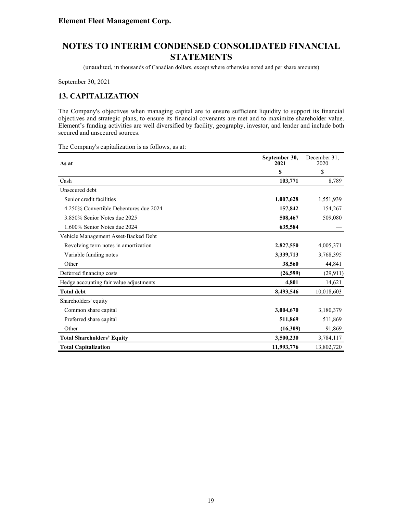(unaudited, in thousands of Canadian dollars, except where otherwise noted and per share amounts)

September 30, 2021

# **13. CAPITALIZATION**

The Company's objectives when managing capital are to ensure sufficient liquidity to support its financial objectives and strategic plans, to ensure its financial covenants are met and to maximize shareholder value. Element's funding activities are well diversified by facility, geography, investor, and lender and include both secured and unsecured sources.

The Company's capitalization is as follows, as at:

| As at                                   | September 30,<br>2021 | December 31.<br>2020 |
|-----------------------------------------|-----------------------|----------------------|
|                                         | \$                    | \$                   |
| Cash                                    | 103,771               | 8,789                |
| Unsecured debt                          |                       |                      |
| Senior credit facilities                | 1,007,628             | 1,551,939            |
| 4.250% Convertible Debentures due 2024  | 157,842               | 154,267              |
| 3.850% Senior Notes due 2025            | 508,467               | 509,080              |
| 1.600% Senior Notes due 2024            | 635,584               |                      |
| Vehicle Management Asset-Backed Debt    |                       |                      |
| Revolving term notes in amortization    | 2,827,550             | 4,005,371            |
| Variable funding notes                  | 3,339,713             | 3,768,395            |
| Other                                   | 38,560                | 44,841               |
| Deferred financing costs                | (26,599)              | (29, 911)            |
| Hedge accounting fair value adjustments | 4,801                 | 14,621               |
| <b>Total debt</b>                       | 8,493,546             | 10,018,603           |
| Shareholders' equity                    |                       |                      |
| Common share capital                    | 3,004,670             | 3,180,379            |
| Preferred share capital                 | 511,869               | 511,869              |
| Other                                   | (16,309)              | 91,869               |
| <b>Total Shareholders' Equity</b>       | 3,500,230             | 3,784,117            |
| <b>Total Capitalization</b>             | 11,993,776            | 13,802,720           |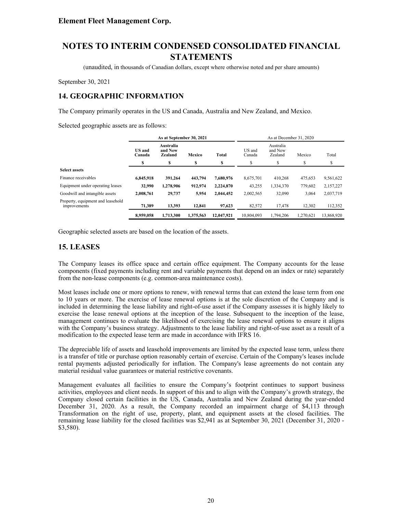(unaudited, in thousands of Canadian dollars, except where otherwise noted and per share amounts)

September 30, 2021

# **14. GEOGRAPHIC INFORMATION**

The Company primarily operates in the US and Canada, Australia and New Zealand, and Mexico.

Selected geographic assets are as follows:

|                                                   | As at September 30, 2021                                   |           |                        |            |                  | As at December 31, 2020         |           |            |
|---------------------------------------------------|------------------------------------------------------------|-----------|------------------------|------------|------------------|---------------------------------|-----------|------------|
|                                                   | Australia<br><b>US</b> and<br>and New<br>Zealand<br>Canada |           | <b>Total</b><br>Mexico |            | US and<br>Canada | Australia<br>and New<br>Zealand | Mexico    | Total      |
|                                                   | S                                                          | S         | S                      | \$         | S                | ¢                               | \$        | S          |
| <b>Select assets</b>                              |                                                            |           |                        |            |                  |                                 |           |            |
| Finance receivables                               | 6,845,918                                                  | 391.264   | 443,794                | 7,680,976  | 8,675,701        | 410,268                         | 475,653   | 9,561,622  |
| Equipment under operating leases                  | 32,990                                                     | 1,278,906 | 912.974                | 2,224,870  | 43,255           | 1,334,370                       | 779.602   | 2,157,227  |
| Goodwill and intangible assets                    | 2.008.761                                                  | 29,737    | 5,954                  | 2,044,452  | 2,002,565        | 32,090                          | 3,064     | 2,037,719  |
| Property, equipment and leasehold<br>improvements | 71.389                                                     | 13.393    | 12,841                 | 97,623     | 82,572           | 17,478                          | 12,302    | 112,352    |
|                                                   | 8.959.058                                                  | 1.713.300 | 1.375.563              | 12,047,921 | 10.804.093       | 1.794.206                       | 1.270.621 | 13,868,920 |

Geographic selected assets are based on the location of the assets.

### **15. LEASES**

The Company leases its office space and certain office equipment. The Company accounts for the lease components (fixed payments including rent and variable payments that depend on an index or rate) separately from the non-lease components (e.g. common-area maintenance costs).

Most leases include one or more options to renew, with renewal terms that can extend the lease term from one to 10 years or more. The exercise of lease renewal options is at the sole discretion of the Company and is included in determining the lease liability and right-of-use asset if the Company assesses it is highly likely to exercise the lease renewal options at the inception of the lease. Subsequent to the inception of the lease, management continues to evaluate the likelihood of exercising the lease renewal options to ensure it aligns with the Company's business strategy. Adjustments to the lease liability and right-of-use asset as a result of a modification to the expected lease term are made in accordance with IFRS 16.

The depreciable life of assets and leasehold improvements are limited by the expected lease term, unless there is a transfer of title or purchase option reasonably certain of exercise. Certain of the Company's leases include rental payments adjusted periodically for inflation. The Company's lease agreements do not contain any material residual value guarantees or material restrictive covenants.

Management evaluates all facilities to ensure the Company's footprint continues to support business activities, employees and client needs. In support of this and to align with the Company's growth strategy, the Company closed certain facilities in the US, Canada, Australia and New Zealand during the year-ended December 31, 2020. As a result, the Company recorded an impairment charge of \$4,113 through Transformation on the right of use, property, plant, and equipment assets at the closed facilities. The remaining lease liability for the closed facilities was \$2,941 as at September 30, 2021 (December 31, 2020 - \$3,580).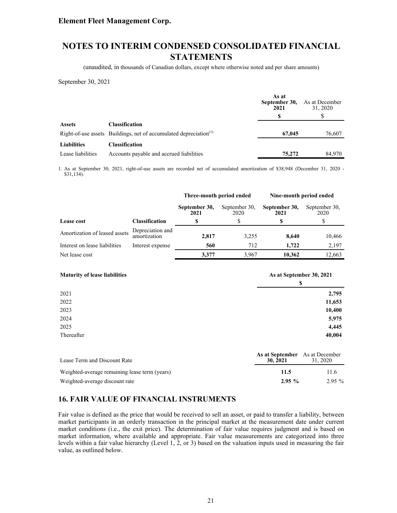# **NOTES TO INTERIM CONDENSED CONSOLIDATED FINANCIAL STATEMENTS**

(unaudited, in thousands of Canadian dollars, except where otherwise noted and per share amounts)

September 30, 2021

|                    |                                                                               | As at<br>September 30,<br>2021 | As at December<br>31, 2020 |
|--------------------|-------------------------------------------------------------------------------|--------------------------------|----------------------------|
|                    |                                                                               |                                |                            |
| <b>Assets</b>      | <b>Classification</b>                                                         |                                |                            |
|                    | Right-of-use assets Buildings, net of accumulated depreciation <sup>(1)</sup> | 67,045                         | 76,607                     |
| <b>Liabilities</b> | Classification                                                                |                                |                            |
| Lease liabilities  | Accounts payable and accrued liabilities                                      | 75,272                         | 84.970                     |

1. As at September 30, 2021, right-of-use assets are recorded net of accumulated amortization of \$38,948 (December 31, 2020 - \$31,134).

|                               |                                  | Three-month period ended |                       | Nine-month period ended |                       |  |  |
|-------------------------------|----------------------------------|--------------------------|-----------------------|-------------------------|-----------------------|--|--|
|                               |                                  | September 30,<br>2021    | September 30.<br>2020 | September 30,<br>2021   | September 30.<br>2020 |  |  |
| Lease cost                    | <b>Classification</b>            | S                        |                       | S                       |                       |  |  |
| Amortization of leased assets | Depreciation and<br>amortization | 2,817                    | 3,255                 | 8.640                   | 10,466                |  |  |
| Interest on lease liabilities | Interest expense                 | 560                      | 712                   | 1.722                   | 2,197                 |  |  |
| Net lease cost                |                                  | 3.377                    | 3.967                 | 10.362                  | 12,663                |  |  |

| <b>Maturity of lease liabilities</b>          | As at September 30, 2021<br>\$ |                            |  |  |
|-----------------------------------------------|--------------------------------|----------------------------|--|--|
| 2021                                          |                                | 2,795                      |  |  |
| 2022                                          |                                | 11,653                     |  |  |
| 2023                                          |                                | 10,400                     |  |  |
| 2024                                          |                                | 5,975                      |  |  |
| 2025                                          |                                | 4,445                      |  |  |
| Thereafter                                    |                                | 40,004                     |  |  |
| Lease Term and Discount Rate                  | As at September<br>30, 2021    | As at December<br>31, 2020 |  |  |
| Weighted-average remaining lease term (years) | 11.5                           | 11.6                       |  |  |

Weighted-average discount rate 2.95 % 2.95 % 2.95 % 2.95 % 2.95 % 2.95 % 2.95 % 2.95 % 2.95 % 2.95 % 2.95 % 2.95 % 2.95 % 2.95 % 2.95 % 2.95 % 2.95 % 2.95 % 2.95 % 2.95 % 2.95 % 2.95 % 2.95 % 2.95 % 2.95 % 2.95 % 2.95 % 2.

### **16. FAIR VALUE OF FINANCIAL INSTRUMENTS**

Fair value is defined as the price that would be received to sell an asset, or paid to transfer a liability, between market participants in an orderly transaction in the principal market at the measurement date under current market conditions (i.e., the exit price). The determination of fair value requires judgment and is based on market information, where available and appropriate. Fair value measurements are categorized into three levels within a fair value hierarchy (Level 1, 2, or 3) based on the valuation inputs used in measuring the fair value, as outlined below.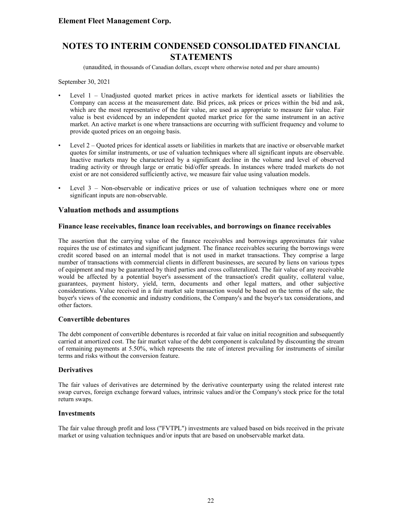(unaudited, in thousands of Canadian dollars, except where otherwise noted and per share amounts)

September 30, 2021

- Level 1 Unadjusted quoted market prices in active markets for identical assets or liabilities the Company can access at the measurement date. Bid prices, ask prices or prices within the bid and ask, which are the most representative of the fair value, are used as appropriate to measure fair value. Fair value is best evidenced by an independent quoted market price for the same instrument in an active market. An active market is one where transactions are occurring with sufficient frequency and volume to provide quoted prices on an ongoing basis.
- Level 2 Quoted prices for identical assets or liabilities in markets that are inactive or observable market quotes for similar instruments, or use of valuation techniques where all significant inputs are observable. Inactive markets may be characterized by a significant decline in the volume and level of observed trading activity or through large or erratic bid/offer spreads. In instances where traded markets do not exist or are not considered sufficiently active, we measure fair value using valuation models.
- Level  $3 -$  Non-observable or indicative prices or use of valuation techniques where one or more significant inputs are non-observable.

### **Valuation methods and assumptions**

#### **Finance lease receivables, finance loan receivables, and borrowings on finance receivables**

The assertion that the carrying value of the finance receivables and borrowings approximates fair value requires the use of estimates and significant judgment. The finance receivables securing the borrowings were credit scored based on an internal model that is not used in market transactions. They comprise a large number of transactions with commercial clients in different businesses, are secured by liens on various types of equipment and may be guaranteed by third parties and cross collateralized. The fair value of any receivable would be affected by a potential buyer's assessment of the transaction's credit quality, collateral value, guarantees, payment history, yield, term, documents and other legal matters, and other subjective considerations. Value received in a fair market sale transaction would be based on the terms of the sale, the buyer's views of the economic and industry conditions, the Company's and the buyer's tax considerations, and other factors.

#### **Convertible debentures**

The debt component of convertible debentures is recorded at fair value on initial recognition and subsequently carried at amortized cost. The fair market value of the debt component is calculated by discounting the stream of remaining payments at 5.50%, which represents the rate of interest prevailing for instruments of similar terms and risks without the conversion feature.

#### **Derivatives**

The fair values of derivatives are determined by the derivative counterparty using the related interest rate swap curves, foreign exchange forward values, intrinsic values and/or the Company's stock price for the total return swaps.

#### **Investments**

The fair value through profit and loss ("FVTPL") investments are valued based on bids received in the private market or using valuation techniques and/or inputs that are based on unobservable market data.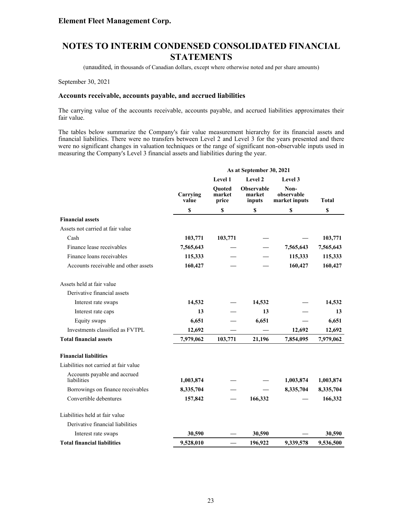(unaudited, in thousands of Canadian dollars, except where otherwise noted and per share amounts)

September 30, 2021

#### **Accounts receivable, accounts payable, and accrued liabilities**

The carrying value of the accounts receivable, accounts payable, and accrued liabilities approximates their fair value.

The tables below summarize the Company's fair value measurement hierarchy for its financial assets and financial liabilities. There were no transfers between Level 2 and Level 3 for the years presented and there were no significant changes in valuation techniques or the range of significant non-observable inputs used in measuring the Company's Level 3 financial assets and liabilities during the year.

|                                             |                   |                                  | As at September 30, 2021              |                                     |              |
|---------------------------------------------|-------------------|----------------------------------|---------------------------------------|-------------------------------------|--------------|
|                                             |                   | Level 1                          | Level 2                               | Level 3                             |              |
|                                             | Carrying<br>value | <b>Ouoted</b><br>market<br>price | <b>Observable</b><br>market<br>inputs | Non-<br>observable<br>market inputs | <b>Total</b> |
|                                             | \$                | \$                               | \$                                    | S                                   | \$           |
| <b>Financial assets</b>                     |                   |                                  |                                       |                                     |              |
| Assets not carried at fair value            |                   |                                  |                                       |                                     |              |
| Cash                                        | 103,771           | 103,771                          |                                       |                                     | 103,771      |
| Finance lease receivables                   | 7,565,643         |                                  |                                       | 7,565,643                           | 7,565,643    |
| Finance loans receivables                   | 115,333           |                                  |                                       | 115,333                             | 115,333      |
| Accounts receivable and other assets        | 160,427           |                                  |                                       | 160,427                             | 160,427      |
| Assets held at fair value                   |                   |                                  |                                       |                                     |              |
| Derivative financial assets                 |                   |                                  |                                       |                                     |              |
| Interest rate swaps                         | 14,532            |                                  | 14,532                                |                                     | 14,532       |
| Interest rate caps                          | 13                |                                  | 13                                    |                                     | 13           |
| Equity swaps                                | 6,651             |                                  | 6,651                                 |                                     | 6,651        |
| Investments classified as FVTPL             | 12,692            |                                  |                                       | 12,692                              | 12,692       |
| <b>Total financial assets</b>               | 7,979,062         | 103,771                          | 21,196                                | 7,854,095                           | 7,979,062    |
| <b>Financial liabilities</b>                |                   |                                  |                                       |                                     |              |
| Liabilities not carried at fair value       |                   |                                  |                                       |                                     |              |
| Accounts payable and accrued<br>liabilities | 1,003,874         |                                  |                                       | 1,003,874                           | 1,003,874    |
| Borrowings on finance receivables           | 8,335,704         |                                  |                                       | 8,335,704                           | 8,335,704    |
| Convertible debentures                      | 157,842           |                                  | 166,332                               |                                     | 166,332      |
| Liabilities held at fair value              |                   |                                  |                                       |                                     |              |
| Derivative financial liabilities            |                   |                                  |                                       |                                     |              |
| Interest rate swaps                         | 30,590            |                                  | 30,590                                |                                     | 30,590       |
| <b>Total financial liabilities</b>          | 9,528,010         |                                  | 196,922                               | 9,339,578                           | 9,536,500    |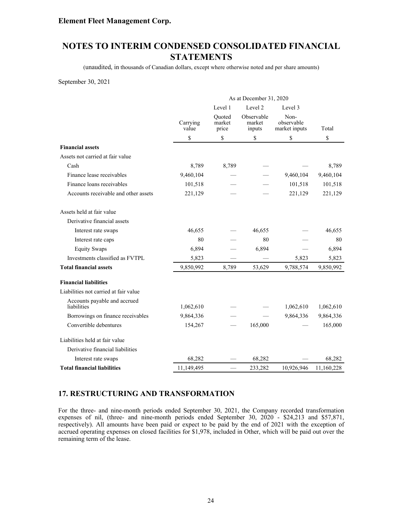# **NOTES TO INTERIM CONDENSED CONSOLIDATED FINANCIAL STATEMENTS**

(unaudited, in thousands of Canadian dollars, except where otherwise noted and per share amounts)

September 30, 2021

|                                             |                   | As at December 31, 2020   |                                |                                     |            |  |  |
|---------------------------------------------|-------------------|---------------------------|--------------------------------|-------------------------------------|------------|--|--|
|                                             |                   | Level 1                   | Level 2                        | Level 3                             |            |  |  |
|                                             | Carrying<br>value | Quoted<br>market<br>price | Observable<br>market<br>inputs | Non-<br>observable<br>market inputs | Total      |  |  |
|                                             | \$                | \$                        | \$                             | \$                                  | \$         |  |  |
| <b>Financial assets</b>                     |                   |                           |                                |                                     |            |  |  |
| Assets not carried at fair value            |                   |                           |                                |                                     |            |  |  |
| Cash                                        | 8,789             | 8,789                     |                                |                                     | 8,789      |  |  |
| Finance lease receivables                   | 9,460,104         |                           |                                | 9,460,104                           | 9,460,104  |  |  |
| Finance loans receivables                   | 101,518           |                           |                                | 101,518                             | 101,518    |  |  |
| Accounts receivable and other assets        | 221,129           |                           |                                | 221,129                             | 221,129    |  |  |
| Assets held at fair value                   |                   |                           |                                |                                     |            |  |  |
| Derivative financial assets                 |                   |                           |                                |                                     |            |  |  |
| Interest rate swaps                         | 46,655            |                           | 46,655                         |                                     | 46,655     |  |  |
| Interest rate caps                          | 80                |                           | 80                             |                                     | 80         |  |  |
| <b>Equity Swaps</b>                         | 6,894             |                           | 6,894                          |                                     | 6,894      |  |  |
| Investments classified as FVTPL             | 5,823             |                           |                                | 5,823                               | 5,823      |  |  |
| <b>Total financial assets</b>               | 9,850,992         | 8,789                     | 53,629                         | 9,788,574                           | 9,850,992  |  |  |
| <b>Financial liabilities</b>                |                   |                           |                                |                                     |            |  |  |
| Liabilities not carried at fair value       |                   |                           |                                |                                     |            |  |  |
| Accounts payable and accrued<br>liabilities | 1,062,610         |                           |                                | 1,062,610                           | 1,062,610  |  |  |
| Borrowings on finance receivables           | 9,864,336         |                           |                                | 9,864,336                           | 9,864,336  |  |  |
| Convertible debentures                      | 154,267           |                           | 165,000                        |                                     | 165,000    |  |  |
| Liabilities held at fair value              |                   |                           |                                |                                     |            |  |  |
| Derivative financial liabilities            |                   |                           |                                |                                     |            |  |  |
| Interest rate swaps                         | 68,282            |                           | 68,282                         |                                     | 68,282     |  |  |
| <b>Total financial liabilities</b>          | 11,149,495        |                           | 233,282                        | 10,926,946                          | 11,160,228 |  |  |

### **17. RESTRUCTURING AND TRANSFORMATION**

For the three- and nine-month periods ended September 30, 2021, the Company recorded transformation expenses of nil, (three- and nine-month periods ended September 30, 2020 - \$24,213 and \$57,871, respectively). All amounts have been paid or expect to be paid by the end of 2021 with the exception of accrued operating expenses on closed facilities for \$1,978, included in Other, which will be paid out over the remaining term of the lease.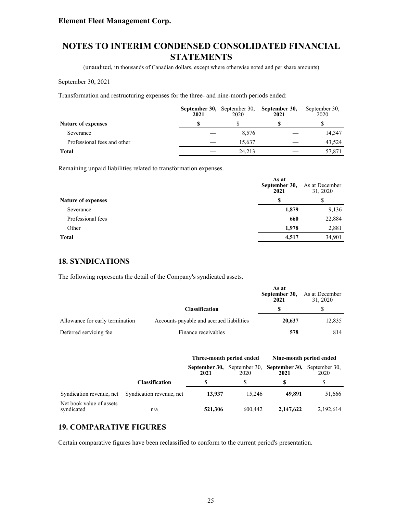# **NOTES TO INTERIM CONDENSED CONSOLIDATED FINANCIAL STATEMENTS**

(unaudited, in thousands of Canadian dollars, except where otherwise noted and per share amounts)

#### September 30, 2021

Transformation and restructuring expenses for the three- and nine-month periods ended:

|                             | 2021 | 2020   | September 30, September 30, September 30,<br>2021 | September 30,<br>2020 |
|-----------------------------|------|--------|---------------------------------------------------|-----------------------|
| <b>Nature of expenses</b>   |      |        |                                                   |                       |
| Severance                   |      | 8.576  |                                                   | 14,347                |
| Professional fees and other |      | 15.637 |                                                   | 43.524                |
| Total                       |      | 24.213 |                                                   | 57,871                |

Remaining unpaid liabilities related to transformation expenses.

|                           | As at<br>September 30,<br>2021 | As at December<br>31, 2020<br>S |  |
|---------------------------|--------------------------------|---------------------------------|--|
| <b>Nature of expenses</b> | S                              |                                 |  |
| Severance                 | 1,879                          | 9,136                           |  |
| Professional fees         | 660                            | 22,884                          |  |
| Other                     | 1.978                          | 2,881                           |  |
| <b>Total</b>              | 4,517                          | 34,901                          |  |

### **18. SYNDICATIONS**

The following represents the detail of the Company's syndicated assets.

|                                 |                                          | As at<br>September 30,<br>2021 | As at December<br>31, 2020 |
|---------------------------------|------------------------------------------|--------------------------------|----------------------------|
|                                 | <b>Classification</b>                    |                                |                            |
| Allowance for early termination | Accounts payable and accrued liabilities | 20,637                         | 12,835                     |
| Deferred servicing fee          | Finance receivables                      | 578                            | 814                        |

|                                        |                          | Three-month period ended |         | Nine-month period ended                           |           |  |
|----------------------------------------|--------------------------|--------------------------|---------|---------------------------------------------------|-----------|--|
|                                        |                          | September 30,<br>2021    | 2020    | September 30, September 30, September 30,<br>2021 | 2020      |  |
|                                        | <b>Classification</b>    |                          |         |                                                   |           |  |
| Syndication revenue, net               | Syndication revenue, net | 13.937                   | 15.246  | 49.891                                            | 51,666    |  |
| Net book value of assets<br>syndicated | n/a                      | 521,306                  | 600.442 | 2,147,622                                         | 2,192,614 |  |

### **19. COMPARATIVE FIGURES**

Certain comparative figures have been reclassified to conform to the current period's presentation.